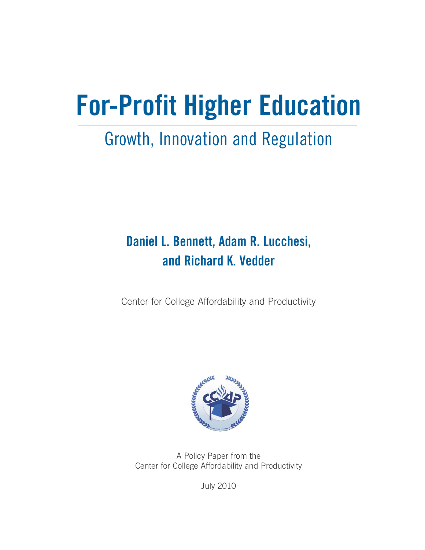# **For-Profit Higher Education**

# Growth, Innovation and Regulation

# **Daniel L. Bennett, Adam R. Lucchesi, and Richard K. Vedder**

Center for College Affordability and Productivity



A Policy Paper from the Center for College Affordability and Productivity

July 2010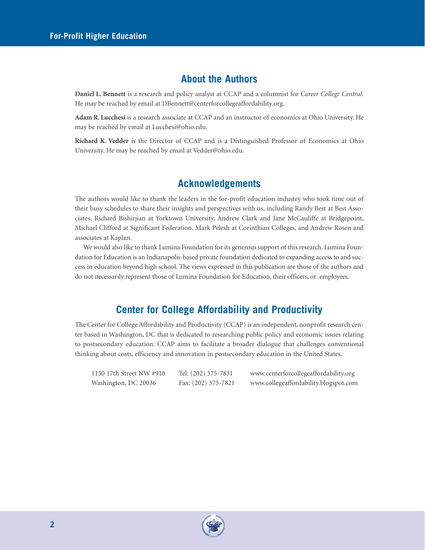### **About the Authors**

**Daniel L. Bennett** is a research and policy analyst at CCAP and a columnist for *Career College Central*. He may be reached by email at DBennett@centerforcollegeaffordability.org.

**Adam R. Lucchesi** is a research associate at CCAP and an instructor of economics at Ohio University. He may be reached by email at Lucchesi@ohio.edu.

**Richard K. Vedder** is the Director of CCAP and is a Distinguished Professor of Economics at Ohio University. He may be reached by email at Vedder@ohio.edu.

# **Acknowledgements**

The authors would like to thank the leaders in the for-profit education industry who took time out of their busy schedules to share their insights and perspectives with us, including Randy Best at Best Associates, Richard Bishirjian at Yorktown University, Andrew Clark and Jane McCauliffe at Bridgepoint, Michael Clifford at Significant Federation, Mark Pelesh at Corinthian Colleges, and Andrew Rosen and associates at Kaplan.

We would also like to thank Lumina Foundation for its generous support of this research. Lumina Foundation for Education is an Indianapolis-based private foundation dedicated to expanding access to and success in education beyond high school. The views expressed in this publication are those of the authors and do not necessarily represent those of Lumina Foundation for Education, their officers, or employees.

# **Center for College Affordability and Productivity**

The Center for College Affordability and Productivity (CCAP) is an independent, nonprofit research center based in Washington, DC that is dedicated to researching public policy and economic issues relating to postsecondary education. CCAP aims to facilitate a broader dialogue that challenges conventional thinking about costs, efficiency and innovation in postsecondary education in the United States.

| 1150 17th Street NW #910 | Tel: (202) 375-7831 | www.centerforcollegeaffordability.org |
|--------------------------|---------------------|---------------------------------------|
| Washington, DC 20036     | Fax: (202) 375-7821 | www.collegeaffordability.blogspot.com |

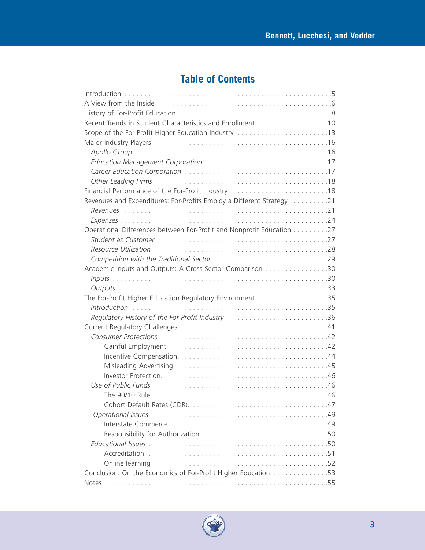# **Table of Contents**

| Recent Trends in Student Characteristics and Enrollment 10                                                                                                                                                                     |
|--------------------------------------------------------------------------------------------------------------------------------------------------------------------------------------------------------------------------------|
| Scope of the For-Profit Higher Education Industry 13                                                                                                                                                                           |
|                                                                                                                                                                                                                                |
|                                                                                                                                                                                                                                |
|                                                                                                                                                                                                                                |
|                                                                                                                                                                                                                                |
|                                                                                                                                                                                                                                |
| Financial Performance of the For-Profit Industry 18                                                                                                                                                                            |
| Revenues and Expenditures: For-Profits Employ a Different Strategy 21                                                                                                                                                          |
|                                                                                                                                                                                                                                |
|                                                                                                                                                                                                                                |
| Operational Differences between For-Profit and Nonprofit Education 27                                                                                                                                                          |
|                                                                                                                                                                                                                                |
|                                                                                                                                                                                                                                |
|                                                                                                                                                                                                                                |
| Academic Inputs and Outputs: A Cross-Sector Comparison 30                                                                                                                                                                      |
|                                                                                                                                                                                                                                |
|                                                                                                                                                                                                                                |
|                                                                                                                                                                                                                                |
|                                                                                                                                                                                                                                |
| Regulatory History of the For-Profit Industry 36                                                                                                                                                                               |
|                                                                                                                                                                                                                                |
| Consumer Protections (etc.) (etc.) (etc.) (etc.) (etc.) (etc.) (etc.) (etc.) (etc.) (etc.) (etc.) (etc.) (etc.) (etc.) (etc.) (etc.) (etc.) (etc.) (etc.) (etc.) (etc.) (etc.) (etc.) (etc.) (etc.) (etc.) (etc.) (etc.) (etc. |
|                                                                                                                                                                                                                                |
|                                                                                                                                                                                                                                |
|                                                                                                                                                                                                                                |
|                                                                                                                                                                                                                                |
|                                                                                                                                                                                                                                |
|                                                                                                                                                                                                                                |
|                                                                                                                                                                                                                                |
|                                                                                                                                                                                                                                |
|                                                                                                                                                                                                                                |
|                                                                                                                                                                                                                                |
|                                                                                                                                                                                                                                |
|                                                                                                                                                                                                                                |
|                                                                                                                                                                                                                                |
| Conclusion: On the Economics of For-Profit Higher Education 53                                                                                                                                                                 |
|                                                                                                                                                                                                                                |

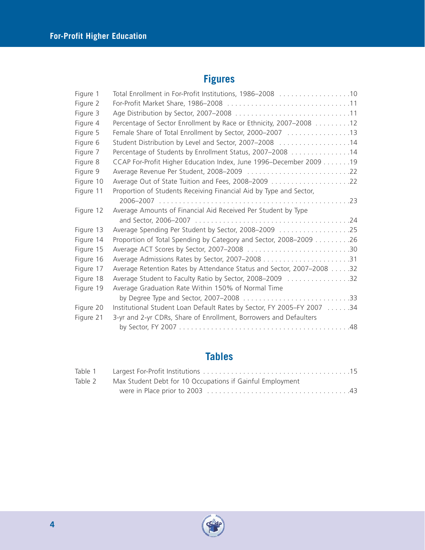# **Figures**

| Figure 1  | Total Enrollment in For-Profit Institutions, 1986-2008 10              |
|-----------|------------------------------------------------------------------------|
| Figure 2  |                                                                        |
| Figure 3  |                                                                        |
| Figure 4  | Percentage of Sector Enrollment by Race or Ethnicity, 2007-2008 12     |
| Figure 5  | Female Share of Total Enrollment by Sector, 2000-2007 13               |
| Figure 6  | Student Distribution by Level and Sector, 2007-2008 14                 |
| Figure 7  | Percentage of Students by Enrollment Status, 2007-2008 14              |
| Figure 8  | CCAP For-Profit Higher Education Index, June 1996–December 2009 19     |
| Figure 9  |                                                                        |
| Figure 10 |                                                                        |
| Figure 11 | Proportion of Students Receiving Financial Aid by Type and Sector,     |
|           |                                                                        |
| Figure 12 | Average Amounts of Financial Aid Received Per Student by Type          |
|           |                                                                        |
| Figure 13 | Average Spending Per Student by Sector, 2008-2009 25                   |
| Figure 14 | Proportion of Total Spending by Category and Sector, 2008–2009 26      |
| Figure 15 |                                                                        |
| Figure 16 |                                                                        |
| Figure 17 | Average Retention Rates by Attendance Status and Sector, 2007-2008 32  |
| Figure 18 | Average Student to Faculty Ratio by Sector, 2008-2009 32               |
| Figure 19 | Average Graduation Rate Within 150% of Normal Time                     |
|           |                                                                        |
| Figure 20 | Institutional Student Loan Default Rates by Sector, FY 2005-FY 2007 34 |
| Figure 21 | 3-yr and 2-yr CDRs, Share of Enrollment, Borrowers and Defaulters      |
|           |                                                                        |

# **Tables**

| Table 2 | Max Student Debt for 10 Occupations if Gainful Employment |  |
|---------|-----------------------------------------------------------|--|
|         |                                                           |  |

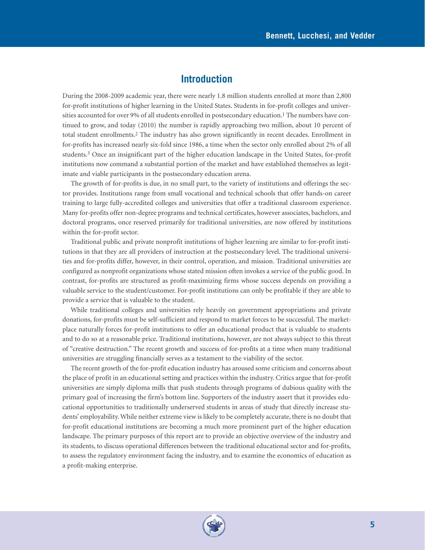# **Introduction**

During the 2008-2009 academic year, there were nearly 1.8 million students enrolled at more than 2,800 for-profit institutions of higher learning in the United States. Students in for-profit colleges and universities accounted for over 9% of all students enrolled in postsecondary education.<sup>1</sup> The numbers have continued to grow, and today (2010) the number is rapidly approaching two million, about 10 percent of total student enrollments.2 The industry has also grown significantly in recent decades. Enrollment in for-profits has increased nearly six-fold since 1986, a time when the sector only enrolled about 2% of all students.3 Once an insignificant part of the higher education landscape in the United States, for-profit institutions now command a substantial portion of the market and have established themselves as legitimate and viable participants in the postsecondary education arena.

The growth of for-profits is due, in no small part, to the variety of institutions and offerings the sector provides. Institutions range from small vocational and technical schools that offer hands-on career training to large fully-accredited colleges and universities that offer a traditional classroom experience. Many for-profits offer non-degree programs and technical certificates, however associates, bachelors, and doctoral programs, once reserved primarily for traditional universities, are now offered by institutions within the for-profit sector.

Traditional public and private nonprofit institutions of higher learning are similar to for-profit institutions in that they are all providers of instruction at the postsecondary level. The traditional universities and for-profits differ, however, in their control, operation, and mission. Traditional universities are configured as nonprofit organizations whose stated mission often invokes a service of the public good. In contrast, for-profits are structured as profit-maximizing firms whose success depends on providing a valuable service to the student/customer. For-profit institutions can only be profitable if they are able to provide a service that is valuable to the student.

While traditional colleges and universities rely heavily on government appropriations and private donations, for-profits must be self-sufficient and respond to market forces to be successful. The marketplace naturally forces for-profit institutions to offer an educational product that is valuable to students and to do so at a reasonable price. Traditional institutions, however, are not always subject to this threat of "creative destruction." The recent growth and success of for-profits at a time when many traditional universities are struggling financially serves as a testament to the viability of the sector.

The recent growth of the for-profit education industry has aroused some criticism and concerns about the place of profit in an educational setting and practices within the industry. Critics argue that for-profit universities are simply diploma mills that push students through programs of dubious quality with the primary goal of increasing the firm's bottom line. Supporters of the industry assert that it provides educational opportunities to traditionally underserved students in areas of study that directly increase students' employability. While neither extreme view is likely to be completely accurate, there is no doubt that for-profit educational institutions are becoming a much more prominent part of the higher education landscape. The primary purposes of this report are to provide an objective overview of the industry and its students, to discuss operational differences between the traditional educational sector and for-profits, to assess the regulatory environment facing the industry, and to examine the economics of education as a profit-making enterprise.

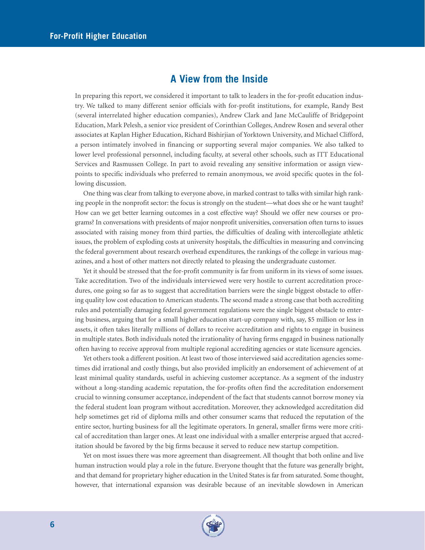# **A View from the Inside**

In preparing this report, we considered it important to talk to leaders in the for-profit education industry. We talked to many different senior officials with for-profit institutions, for example, Randy Best (several interrelated higher education companies), Andrew Clark and Jane McCauliffe of Bridgepoint Education, Mark Pelesh, a senior vice president of Corinthian Colleges, Andrew Rosen and several other associates at Kaplan Higher Education, Richard Bishirjian of Yorktown University, and Michael Clifford, a person intimately involved in financing or supporting several major companies. We also talked to lower level professional personnel, including faculty, at several other schools, such as ITT Educational Services and Rasmussen College. In part to avoid revealing any sensitive information or assign viewpoints to specific individuals who preferred to remain anonymous, we avoid specific quotes in the following discussion.

One thing was clear from talking to everyone above, in marked contrast to talks with similar high ranking people in the nonprofit sector: the focus is strongly on the student—what does she or he want taught? How can we get better learning outcomes in a cost effective way? Should we offer new courses or programs? In conversations with presidents of major nonprofit universities, conversation often turns to issues associated with raising money from third parties, the difficulties of dealing with intercollegiate athletic issues, the problem of exploding costs at university hospitals, the difficulties in measuring and convincing the federal government about research overhead expenditures, the rankings of the college in various magazines, and a host of other matters not directly related to pleasing the undergraduate customer.

Yet it should be stressed that the for-profit community is far from uniform in its views of some issues. Take accreditation. Two of the individuals interviewed were very hostile to current accreditation procedures, one going so far as to suggest that accreditation barriers were the single biggest obstacle to offering quality low cost education to American students. The second made a strong case that both accrediting rules and potentially damaging federal government regulations were the single biggest obstacle to entering business, arguing that for a small higher education start-up company with, say, \$5 million or less in assets, it often takes literally millions of dollars to receive accreditation and rights to engage in business in multiple states. Both individuals noted the irrationality of having firms engaged in business nationally often having to receive approval from multiple regional accrediting agencies or state licensure agencies.

Yet others took a different position. At least two of those interviewed said accreditation agencies sometimes did irrational and costly things, but also provided implicitly an endorsement of achievement of at least minimal quality standards, useful in achieving customer acceptance. As a segment of the industry without a long-standing academic reputation, the for-profits often find the accreditation endorsement crucial to winning consumer acceptance, independent of the fact that students cannot borrow money via the federal student loan program without accreditation. Moreover, they acknowledged accreditation did help sometimes get rid of diploma mills and other consumer scams that reduced the reputation of the entire sector, hurting business for all the legitimate operators. In general, smaller firms were more critical of accreditation than larger ones. At least one individual with a smaller enterprise argued that accreditation should be favored by the big firms because it served to reduce new startup competition.

Yet on most issues there was more agreement than disagreement. All thought that both online and live human instruction would play a role in the future. Everyone thought that the future was generally bright, and that demand for proprietary higher education in the United States is far from saturated. Some thought, however, that international expansion was desirable because of an inevitable slowdown in American

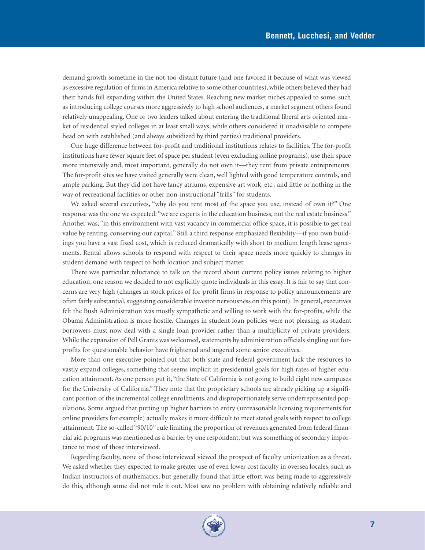demand growth sometime in the not-too-distant future (and one favored it because of what was viewed as excessive regulation of firms in America relative to some other countries), while others believed they had their hands full expanding within the United States. Reaching new market niches appealed to some, such as introducing college courses more aggressively to high school audiences, a market segment others found relatively unappealing. One or two leaders talked about entering the traditional liberal arts oriented market of residential styled colleges in at least small ways, while others considered it unadvisable to compete head on with established (and always subsidized by third parties) traditional providers.

One huge difference between for-profit and traditional institutions relates to facilities. The for-profit institutions have fewer square feet of space per student (even excluding online programs), use their space more intensively and, most important, generally do not own it—they rent from private entrepreneurs. The for-profit sites we have visited generally were clean, well lighted with good temperature controls, and ample parking. But they did not have fancy atriums, expensive art work, etc., and little or nothing in the way of recreational facilities or other non-instructional "frills" for students.

We asked several executives, "why do you rent most of the space you use, instead of own it?" One response was the one we expected: "we are experts in the education business, not the real estate business." Another was, "in this environment with vast vacancy in commercial office space, it is possible to get real value by renting, conserving our capital." Still a third response emphasized flexibility—if you own buildings you have a vast fixed cost, which is reduced dramatically with short to medium length lease agreements. Rental allows schools to respond with respect to their space needs more quickly to changes in student demand with respect to both location and subject matter.

There was particular reluctance to talk on the record about current policy issues relating to higher education, one reason we decided to not explicitly quote individuals in this essay. It is fair to say that concerns are very high (changes in stock prices of for-profit firms in response to policy announcements are often fairly substantial, suggesting considerable investor nervousness on this point). In general, executives felt the Bush Administration was mostly sympathetic and willing to work with the for-profits, while the Obama Administration is more hostile. Changes in student loan policies were not pleasing, as student borrowers must now deal with a single loan provider rather than a multiplicity of private providers. While the expansion of Pell Grants was welcomed, statements by administration officials singling out forprofits for questionable behavior have frightened and angered some senior executives.

More than one executive pointed out that both state and federal government lack the resources to vastly expand colleges, something that seems implicit in presidential goals for high rates of higher education attainment. As one person put it, "the State of California is not going to build eight new campuses for the University of California." They note that the proprietary schools are already picking up a significant portion of the incremental college enrollments, and disproportionately serve underrepresented populations. Some argued that putting up higher barriers to entry (unreasonable licensing requirements for online providers for example) actually makes it more difficult to meet stated goals with respect to college attainment. The so-called "90/10" rule limiting the proportion of revenues generated from federal financial aid programs was mentioned as a barrier by one respondent, but was something of secondary importance to most of those interviewed.

Regarding faculty, none of those interviewed viewed the prospect of faculty unionization as a threat. We asked whether they expected to make greater use of even lower cost faculty in oversea locales, such as Indian instructors of mathematics, but generally found that little effort was being made to aggressively do this, although some did not rule it out. Most saw no problem with obtaining relatively reliable and

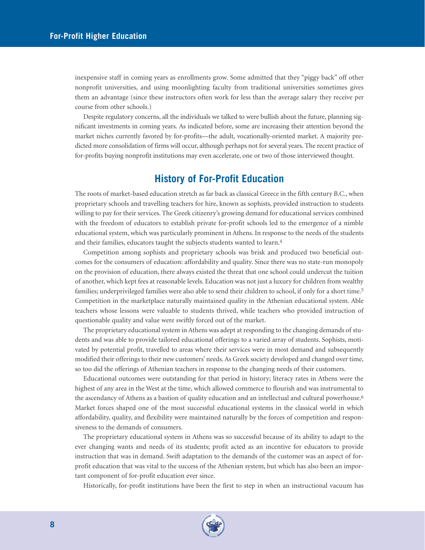inexpensive staff in coming years as enrollments grow. Some admitted that they "piggy back" off other nonprofit universities, and using moonlighting faculty from traditional universities sometimes gives them an advantage (since these instructors often work for less than the average salary they receive per course from other schools.)

Despite regulatory concerns, all the individuals we talked to were bullish about the future, planning significant investments in coming years. As indicated before, some are increasing their attention beyond the market niches currently favored by for-profits—the adult, vocationally-oriented market. A majority predicted more consolidation of firms will occur, although perhaps not for several years. The recent practice of for-profits buying nonprofit institutions may even accelerate, one or two of those interviewed thought.

# **History of For-Profit Education**

The roots of market-based education stretch as far back as classical Greece in the fifth century B.C., when proprietary schools and travelling teachers for hire, known as sophists, provided instruction to students willing to pay for their services. The Greek citizenry's growing demand for educational services combined with the freedom of educators to establish private for-profit schools led to the emergence of a nimble educational system, which was particularly prominent in Athens. In response to the needs of the students and their families, educators taught the subjects students wanted to learn.<sup>4</sup>

Competition among sophists and proprietary schools was brisk and produced two beneficial outcomes for the consumers of education: affordability and quality. Since there was no state-run monopoly on the provision of education, there always existed the threat that one school could undercut the tuition of another, which kept fees at reasonable levels. Education was not just a luxury for children from wealthy families; underprivileged families were also able to send their children to school, if only for a short time.5 Competition in the marketplace naturally maintained quality in the Athenian educational system. Able teachers whose lessons were valuable to students thrived, while teachers who provided instruction of questionable quality and value were swiftly forced out of the market.

The proprietary educational system in Athens was adept at responding to the changing demands of students and was able to provide tailored educational offerings to a varied array of students. Sophists, motivated by potential profit, travelled to areas where their services were in most demand and subsequently modified their offerings to their new customers' needs.As Greek society developed and changed over time, so too did the offerings of Athenian teachers in response to the changing needs of their customers.

Educational outcomes were outstanding for that period in history; literacy rates in Athens were the highest of any area in the West at the time, which allowed commerce to flourish and was instrumental to the ascendancy of Athens as a bastion of quality education and an intellectual and cultural powerhouse.<sup>6</sup> Market forces shaped one of the most successful educational systems in the classical world in which affordability, quality, and flexibility were maintained naturally by the forces of competition and responsiveness to the demands of consumers.

The proprietary educational system in Athens was so successful because of its ability to adapt to the ever changing wants and needs of its students; profit acted as an incentive for educators to provide instruction that was in demand. Swift adaptation to the demands of the customer was an aspect of forprofit education that was vital to the success of the Athenian system, but which has also been an important component of for-profit education ever since.

Historically, for-profit institutions have been the first to step in when an instructional vacuum has

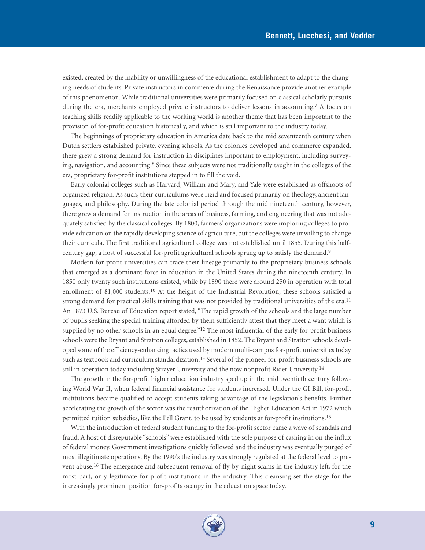existed, created by the inability or unwillingness of the educational establishment to adapt to the changing needs of students. Private instructors in commerce during the Renaissance provide another example of this phenomenon. While traditional universities were primarily focused on classical scholarly pursuits during the era, merchants employed private instructors to deliver lessons in accounting.<sup>7</sup> A focus on teaching skills readily applicable to the working world is another theme that has been important to the provision of for-profit education historically, and which is still important to the industry today.

The beginnings of proprietary education in America date back to the mid seventeenth century when Dutch settlers established private, evening schools. As the colonies developed and commerce expanded, there grew a strong demand for instruction in disciplines important to employment, including surveying, navigation, and accounting.8 Since these subjects were not traditionally taught in the colleges of the era, proprietary for-profit institutions stepped in to fill the void.

Early colonial colleges such as Harvard, William and Mary, and Yale were established as offshoots of organized religion. As such, their curriculums were rigid and focused primarily on theology, ancient languages, and philosophy. During the late colonial period through the mid nineteenth century, however, there grew a demand for instruction in the areas of business, farming, and engineering that was not adequately satisfied by the classical colleges. By 1800, farmers' organizations were imploring colleges to provide education on the rapidly developing science of agriculture, but the colleges were unwilling to change their curricula. The first traditional agricultural college was not established until 1855. During this halfcentury gap, a host of successful for-profit agricultural schools sprang up to satisfy the demand.9

Modern for-profit universities can trace their lineage primarily to the proprietary business schools that emerged as a dominant force in education in the United States during the nineteenth century. In 1850 only twenty such institutions existed, while by 1890 there were around 250 in operation with total enrollment of 81,000 students.10 At the height of the Industrial Revolution, these schools satisfied a strong demand for practical skills training that was not provided by traditional universities of the era.<sup>11</sup> An 1873 U.S. Bureau of Education report stated, "The rapid growth of the schools and the large number of pupils seeking the special training afforded by them sufficiently attest that they meet a want which is supplied by no other schools in an equal degree."<sup>12</sup> The most influential of the early for-profit business schools were the Bryant and Stratton colleges, established in 1852. The Bryant and Stratton schools developed some of the efficiency-enhancing tactics used by modern multi-campus for-profit universities today such as textbook and curriculum standardization.<sup>13</sup> Several of the pioneer for-profit business schools are still in operation today including Strayer University and the now nonprofit Rider University.<sup>14</sup>

The growth in the for-profit higher education industry sped up in the mid twentieth century following World War II, when federal financial assistance for students increased. Under the GI Bill, for-profit institutions became qualified to accept students taking advantage of the legislation's benefits. Further accelerating the growth of the sector was the reauthorization of the Higher Education Act in 1972 which permitted tuition subsidies, like the Pell Grant, to be used by students at for-profit institutions.15

With the introduction of federal student funding to the for-profit sector came a wave of scandals and fraud. A host of disreputable "schools" were established with the sole purpose of cashing in on the influx of federal money. Government investigations quickly followed and the industry was eventually purged of most illegitimate operations. By the 1990's the industry was strongly regulated at the federal level to prevent abuse.16 The emergence and subsequent removal of fly-by-night scams in the industry left, for the most part, only legitimate for-profit institutions in the industry. This cleansing set the stage for the increasingly prominent position for-profits occupy in the education space today.

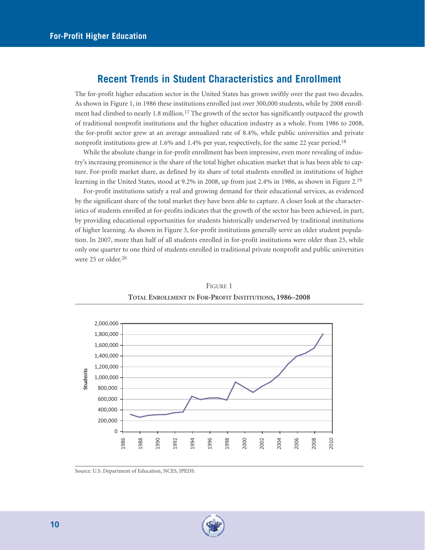## **Recent Trends in Student Characteristics and Enrollment**

The for-profit higher education sector in the United States has grown swiftly over the past two decades. As shown in Figure 1, in 1986 these institutions enrolled just over 300,000 students, while by 2008 enrollment had climbed to nearly 1.8 million.<sup>17</sup> The growth of the sector has significantly outpaced the growth of traditional nonprofit institutions and the higher education industry as a whole. From 1986 to 2008, the for-profit sector grew at an average annualized rate of 8.4%, while public universities and private nonprofit institutions grew at 1.6% and 1.4% per year, respectively, for the same 22 year period.<sup>18</sup>

While the absolute change in for-profit enrollment has been impressive, even more revealing of industry's increasing prominence is the share of the total higher education market that is has been able to capture. For-profit market share, as defined by its share of total students enrolled in institutions of higher learning in the United States, stood at 9.2% in 2008, up from just 2.4% in 1986, as shown in Figure 2.19

For-profit institutions satisfy a real and growing demand for their educational services, as evidenced by the significant share of the total market they have been able to capture. A closer look at the characteristics of students enrolled at for-profits indicates that the growth of the sector has been achieved, in part, by providing educational opportunities for students historically underserved by traditional institutions of higher learning. As shown in Figure 3, for-profit institutions generally serve an older student population. In 2007, more than half of all students enrolled in for-profit institutions were older than 25, while only one quarter to one third of students enrolled in traditional private nonprofit and public universities were 25 or older.20



FIGURE 1 **TOTAL ENROLLMENT IN FOR-PROFIT INSTITUTIONS, 1986–2008**

Source: U.S. Department of Education, NCES, IPEDS.

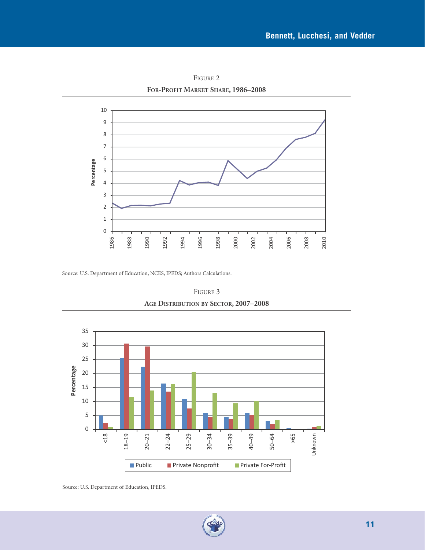

FIGURE 2 **FOR-PROFIT MARKET SHARE, 1986–2008**

Source: U.S. Department of Education, NCES, IPEDS; Authors Calculations.

FIGURE 3 **AGE DISTRIBUTION BY SECTOR, 2007–2008**



Source: U.S. Department of Education, IPEDS.

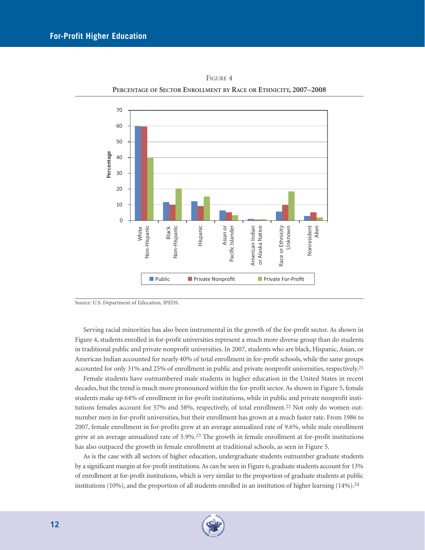

FIGURE 4 **PERCENTAGE OF SECTOR ENROLLMENT BY RACE OR ETHNICITY, 2007–2008**

Source: U.S. Department of Education, IPEDS.

Serving racial minorities has also been instrumental in the growth of the for-profit sector. As shown in Figure 4, students enrolled in for-profit universities represent a much more diverse group than do students in traditional public and private nonprofit universities. In 2007, students who are black, Hispanic, Asian, or American Indian accounted for nearly 40% of total enrollment in for-profit schools, while the same groups accounted for only 31% and 25% of enrollment in public and private nonprofit universities, respectively.21

Female students have outnumbered male students in higher education in the United States in recent decades, but the trend is much more pronounced within the for-profit sector. As shown in Figure 5, female students make up 64% of enrollment in for-profit institutions, while in public and private nonprofit institutions females account for 57% and 58%, respectively, of total enrollment.<sup>22</sup> Not only do women outnumber men in for-profit universities, but their enrollment has grown at a much faster rate. From 1986 to 2007, female enrollment in for-profits grew at an average annualized rate of 9.6%, while male enrollment grew at an average annualized rate of 5.9%.23 The growth in female enrollment at for-profit institutions has also outpaced the growth in female enrollment at traditional schools, as seen in Figure 5.

As is the case with all sectors of higher education, undergraduate students outnumber graduate students by a significant margin at for-profit institutions. As can be seen in Figure 6, graduate students account for 13% of enrollment at for-profit institutions, which is very similar to the proportion of graduate students at public institutions (10%), and the proportion of all students enrolled in an institution of higher learning (14%).<sup>24</sup>

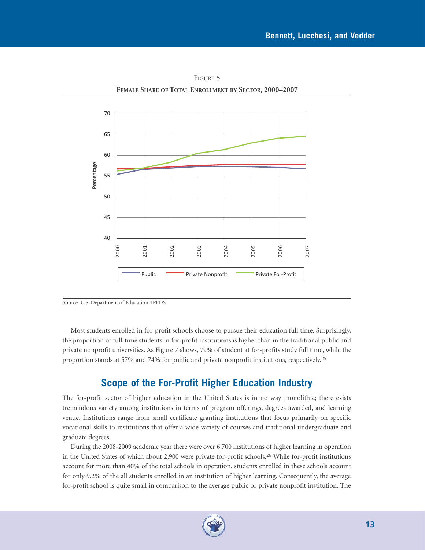

FIGURE 5 **FEMALE SHARE OF TOTAL ENROLLMENT BY SECTOR, 2000–2007** 

Source: U.S. Department of Education, IPEDS.

Most students enrolled in for-profit schools choose to pursue their education full time. Surprisingly, the proportion of full-time students in for-profit institutions is higher than in the traditional public and private nonprofit universities. As Figure 7 shows, 79% of student at for-profits study full time, while the proportion stands at 57% and 74% for public and private nonprofit institutions, respectively.25

# **Scope of the For-Profit Higher Education Industry**

The for-profit sector of higher education in the United States is in no way monolithic; there exists tremendous variety among institutions in terms of program offerings, degrees awarded, and learning venue. Institutions range from small certificate granting institutions that focus primarily on specific vocational skills to institutions that offer a wide variety of courses and traditional undergraduate and graduate degrees.

During the 2008-2009 academic year there were over 6,700 institutions of higher learning in operation in the United States of which about 2,900 were private for-profit schools.26 While for-profit institutions account for more than 40% of the total schools in operation, students enrolled in these schools account for only 9.2% of the all students enrolled in an institution of higher learning. Consequently, the average for-profit school is quite small in comparison to the average public or private nonprofit institution. The

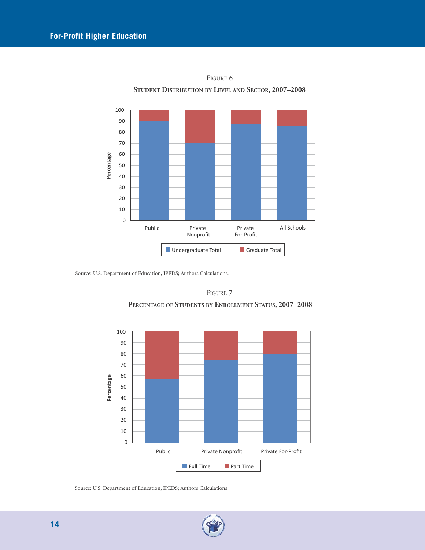

FIGURE 6 **STUDENT DISTRIBUTION BY LEVEL AND SECTOR, 2007–2008**

Source: U.S. Department of Education, IPEDS; Authors Calculations.



FIGURE 7 **PERCENTAGE OF STUDENTS BY ENROLLMENT STATUS, 2007–2008**

Source: U.S. Department of Education, IPEDS; Authors Calculations.

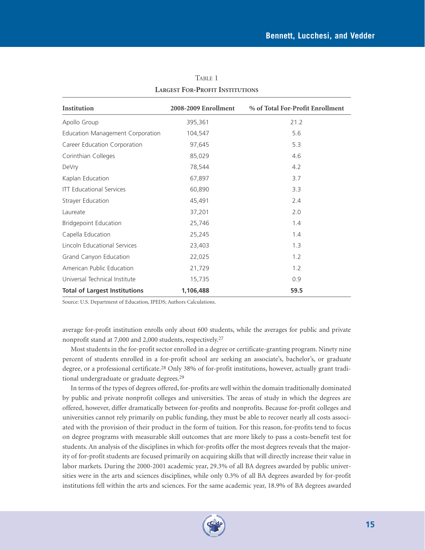| Institution                          | 2008-2009 Enrollment | % of Total For-Profit Enrollment |  |  |
|--------------------------------------|----------------------|----------------------------------|--|--|
| Apollo Group                         | 395,361              | 21.2                             |  |  |
| Education Management Corporation     | 104,547              | 5.6                              |  |  |
| Career Education Corporation         | 97,645               | 5.3                              |  |  |
| Corinthian Colleges                  | 85,029               | 4.6                              |  |  |
| DeVry                                | 78,544               | 4.2                              |  |  |
| Kaplan Education                     | 67,897               | 3.7                              |  |  |
| <b>ITT Educational Services</b>      | 60,890               | 3.3                              |  |  |
| Strayer Education                    | 45,491               | 2.4                              |  |  |
| Laureate                             | 37,201               | 2.0                              |  |  |
| <b>Bridgepoint Education</b>         | 25,746               | 1.4                              |  |  |
| Capella Education                    | 25,245               | 1.4                              |  |  |
| Lincoln Educational Services         | 23,403               | 1.3                              |  |  |
| Grand Canyon Education               | 22,025               | 1.2                              |  |  |
| American Public Education            | 21,729               | 1.2                              |  |  |
| Universal Technical Institute        | 15,735               | 0.9                              |  |  |
| <b>Total of Largest Institutions</b> | 1,106,488            | 59.5                             |  |  |

TABLE 1 **LARGEST FOR-PROFIT INSTITUTIONS**

Source: U.S. Department of Education, IPEDS; Authors Calculations.

average for-profit institution enrolls only about 600 students, while the averages for public and private nonprofit stand at 7,000 and 2,000 students, respectively.27

Most students in the for-profit sector enrolled in a degree or certificate-granting program. Ninety nine percent of students enrolled in a for-profit school are seeking an associate's, bachelor's, or graduate degree, or a professional certificate.28 Only 38% of for-profit institutions, however, actually grant traditional undergraduate or graduate degrees.29

In terms of the types of degrees offered, for-profits are well within the domain traditionally dominated by public and private nonprofit colleges and universities. The areas of study in which the degrees are offered, however, differ dramatically between for-profits and nonprofits. Because for-profit colleges and universities cannot rely primarily on public funding, they must be able to recover nearly all costs associated with the provision of their product in the form of tuition. For this reason, for-profits tend to focus on degree programs with measurable skill outcomes that are more likely to pass a costs-benefit test for students. An analysis of the disciplines in which for-profits offer the most degrees reveals that the majority of for-profit students are focused primarily on acquiring skills that will directly increase their value in labor markets. During the 2000-2001 academic year, 29.3% of all BA degrees awarded by public universities were in the arts and sciences disciplines, while only 0.3% of all BA degrees awarded by for-profit institutions fell within the arts and sciences. For the same academic year, 18.9% of BA degrees awarded

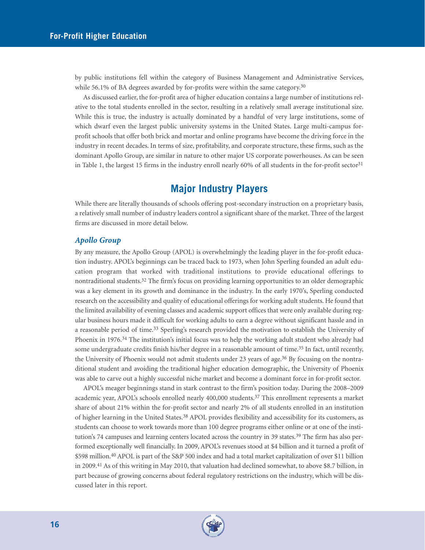by public institutions fell within the category of Business Management and Administrative Services, while 56.1% of BA degrees awarded by for-profits were within the same category.<sup>30</sup>

As discussed earlier, the for-profit area of higher education contains a large number of institutions relative to the total students enrolled in the sector, resulting in a relatively small average institutional size. While this is true, the industry is actually dominated by a handful of very large institutions, some of which dwarf even the largest public university systems in the United States. Large multi-campus forprofit schools that offer both brick and mortar and online programs have become the driving force in the industry in recent decades. In terms of size, profitability, and corporate structure, these firms, such as the dominant Apollo Group, are similar in nature to other major US corporate powerhouses. As can be seen in Table 1, the largest 15 firms in the industry enroll nearly 60% of all students in the for-profit sector<sup>31</sup>

# **Major Industry Players**

While there are literally thousands of schools offering post-secondary instruction on a proprietary basis, a relatively small number of industry leaders control a significant share of the market. Three of the largest firms are discussed in more detail below.

#### *Apollo Group*

By any measure, the Apollo Group (APOL) is overwhelmingly the leading player in the for-profit education industry. APOL's beginnings can be traced back to 1973, when John Sperling founded an adult education program that worked with traditional institutions to provide educational offerings to nontraditional students.32 The firm's focus on providing learning opportunities to an older demographic was a key element in its growth and dominance in the industry. In the early 1970's, Sperling conducted research on the accessibility and quality of educational offerings for working adult students. He found that the limited availability of evening classes and academic support offices that were only available during regular business hours made it difficult for working adults to earn a degree without significant hassle and in a reasonable period of time.<sup>33</sup> Sperling's research provided the motivation to establish the University of Phoenix in 1976.34 The institution's initial focus was to help the working adult student who already had some undergraduate credits finish his/her degree in a reasonable amount of time.<sup>35</sup> In fact, until recently, the University of Phoenix would not admit students under 23 years of age.<sup>36</sup> By focusing on the nontraditional student and avoiding the traditional higher education demographic, the University of Phoenix was able to carve out a highly successful niche market and become a dominant force in for-profit sector.

APOL's meager beginnings stand in stark contrast to the firm's position today. During the 2008–2009 academic year, APOL's schools enrolled nearly 400,000 students.37 This enrollment represents a market share of about 21% within the for-profit sector and nearly 2% of all students enrolled in an institution of higher learning in the United States.38 APOL provides flexibility and accessibility for its customers, as students can choose to work towards more than 100 degree programs either online or at one of the institution's 74 campuses and learning centers located across the country in 39 states.<sup>39</sup> The firm has also performed exceptionally well financially. In 2009, APOL's revenues stood at \$4 billion and it turned a profit of \$598 million.40 APOL is part of the S&P 500 index and had a total market capitalization of over \$11 billion in 2009.41 As of this writing in May 2010, that valuation had declined somewhat, to above \$8.7 billion, in part because of growing concerns about federal regulatory restrictions on the industry, which will be discussed later in this report.

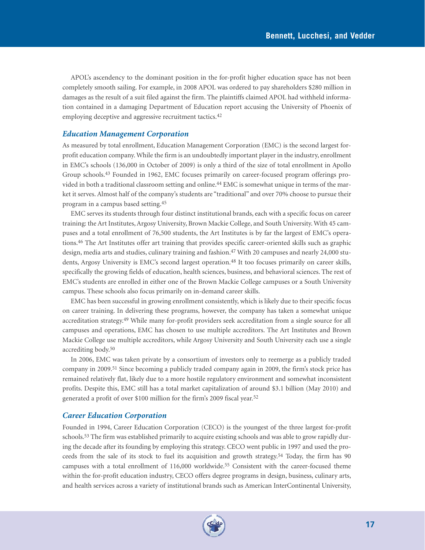APOL's ascendency to the dominant position in the for-profit higher education space has not been completely smooth sailing. For example, in 2008 APOL was ordered to pay shareholders \$280 million in damages as the result of a suit filed against the firm. The plaintiffs claimed APOL had withheld information contained in a damaging Department of Education report accusing the University of Phoenix of employing deceptive and aggressive recruitment tactics.42

#### *Education Management Corporation*

As measured by total enrollment, Education Management Corporation (EMC) is the second largest forprofit education company. While the firm is an undoubtedly important player in the industry, enrollment in EMC's schools (136,000 in October of 2009) is only a third of the size of total enrollment in Apollo Group schools.43 Founded in 1962, EMC focuses primarily on career-focused program offerings provided in both a traditional classroom setting and online.<sup>44</sup> EMC is somewhat unique in terms of the market it serves. Almost half of the company's students are "traditional" and over 70% choose to pursue their program in a campus based setting.45

EMC serves its students through four distinct institutional brands, each with a specific focus on career training: the Art Institutes, Argosy University, Brown Mackie College, and South University. With 45 campuses and a total enrollment of 76,500 students, the Art Institutes is by far the largest of EMC's operations.46 The Art Institutes offer art training that provides specific career-oriented skills such as graphic design, media arts and studies, culinary training and fashion.47 With 20 campuses and nearly 24,000 students, Argosy University is EMC's second largest operation.48 It too focuses primarily on career skills, specifically the growing fields of education, health sciences, business, and behavioral sciences. The rest of EMC's students are enrolled in either one of the Brown Mackie College campuses or a South University campus. These schools also focus primarily on in-demand career skills.

EMC has been successful in growing enrollment consistently, which is likely due to their specific focus on career training. In delivering these programs, however, the company has taken a somewhat unique accreditation strategy.<sup>49</sup> While many for-profit providers seek accreditation from a single source for all campuses and operations, EMC has chosen to use multiple accreditors. The Art Institutes and Brown Mackie College use multiple accreditors, while Argosy University and South University each use a single accrediting body.50

In 2006, EMC was taken private by a consortium of investors only to reemerge as a publicly traded company in 2009.51 Since becoming a publicly traded company again in 2009, the firm's stock price has remained relatively flat, likely due to a more hostile regulatory environment and somewhat inconsistent profits. Despite this, EMC still has a total market capitalization of around \$3.1 billion (May 2010) and generated a profit of over \$100 million for the firm's 2009 fiscal year.52

#### *Career Education Corporation*

Founded in 1994, Career Education Corporation (CECO) is the youngest of the three largest for-profit schools.53 The firm was established primarily to acquire existing schools and was able to grow rapidly during the decade after its founding by employing this strategy. CECO went public in 1997 and used the proceeds from the sale of its stock to fuel its acquisition and growth strategy.54 Today, the firm has 90 campuses with a total enrollment of 116,000 worldwide.55 Consistent with the career-focused theme within the for-profit education industry, CECO offers degree programs in design, business, culinary arts, and health services across a variety of institutional brands such as American InterContinental University,

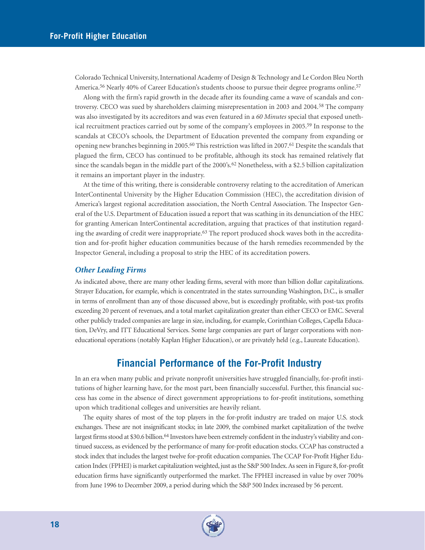Colorado Technical University, International Academy of Design & Technology and Le Cordon Bleu North America.<sup>56</sup> Nearly 40% of Career Education's students choose to pursue their degree programs online.<sup>57</sup>

Along with the firm's rapid growth in the decade after its founding came a wave of scandals and controversy. CECO was sued by shareholders claiming misrepresentation in 2003 and 2004.58 The company was also investigated by its accreditors and was even featured in a *60 Minutes* special that exposed unethical recruitment practices carried out by some of the company's employees in 2005.59 In response to the scandals at CECO's schools, the Department of Education prevented the company from expanding or opening new branches beginning in 2005.60 This restriction was lifted in 2007.61 Despite the scandals that plagued the firm, CECO has continued to be profitable, although its stock has remained relatively flat since the scandals began in the middle part of the 2000's.<sup>62</sup> Nonetheless, with a \$2.5 billion capitalization it remains an important player in the industry.

At the time of this writing, there is considerable controversy relating to the accreditation of American InterContinental University by the Higher Education Commission (HEC), the accreditation division of America's largest regional accreditation association, the North Central Association. The Inspector General of the U.S. Department of Education issued a report that was scathing in its denunciation of the HEC for granting American InterContinental accreditation, arguing that practices of that institution regarding the awarding of credit were inappropriate.63 The report produced shock waves both in the accreditation and for-profit higher education communities because of the harsh remedies recommended by the Inspector General, including a proposal to strip the HEC of its accreditation powers.

#### *Other Leading Firms*

As indicated above, there are many other leading firms, several with more than billion dollar capitalizations. Strayer Education, for example, which is concentrated in the states surrounding Washington, D.C., is smaller in terms of enrollment than any of those discussed above, but is exceedingly profitable, with post-tax profits exceeding 20 percent of revenues, and a total market capitalization greater than either CECO or EMC. Several other publicly traded companies are large in size, including, for example, Corinthian Colleges, Capella Education, DeVry, and ITT Educational Services. Some large companies are part of larger corporations with noneducational operations (notably Kaplan Higher Education), or are privately held (e.g., Laureate Education).

# **Financial Performance of the For-Profit Industry**

In an era when many public and private nonprofit universities have struggled financially, for-profit institutions of higher learning have, for the most part, been financially successful. Further, this financial success has come in the absence of direct government appropriations to for-profit institutions, something upon which traditional colleges and universities are heavily reliant.

The equity shares of most of the top players in the for-profit industry are traded on major U.S. stock exchanges. These are not insignificant stocks; in late 2009, the combined market capitalization of the twelve largest firms stood at \$30.6 billion.<sup>64</sup> Investors have been extremely confident in the industry's viability and continued success, as evidenced by the performance of many for-profit education stocks. CCAP has constructed a stock index that includes the largest twelve for-profit education companies. The CCAP For-Profit Higher Education Index (FPHEI) is market capitalization weighted, just as the S&P 500 Index.As seen in Figure 8, for-profit education firms have significantly outperformed the market. The FPHEI increased in value by over 700% from June 1996 to December 2009, a period during which the S&P 500 Index increased by 56 percent.

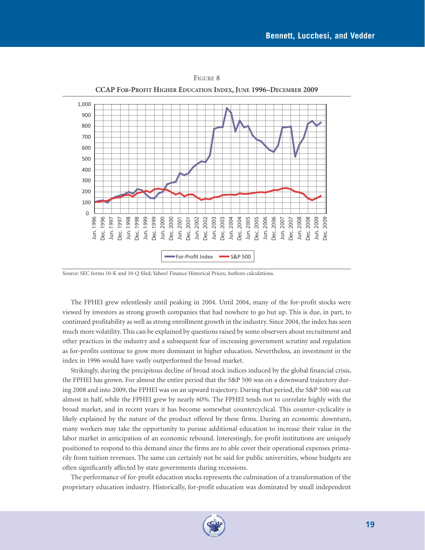

FIGURE 8

Source: SEC forms 10-K and 10-Q filed; Yahoo! Finance Historical Prices; Authors calculations.

The FPHEI grew relentlessly until peaking in 2004. Until 2004, many of the for-profit stocks were viewed by investors as strong growth companies that had nowhere to go but up. This is due, in part, to continued profitability as well as strong enrollment growth in the industry. Since 2004, the index has seen much more volatility. This can be explained by questions raised by some observers about recruitment and other practices in the industry and a subsequent fear of increasing government scrutiny and regulation as for-profits continue to grow more dominant in higher education. Nevertheless, an investment in the index in 1996 would have vastly outperformed the broad market.

Strikingly, during the precipitous decline of broad stock indices induced by the global financial crisis, the FPHEI has grown. For almost the entire period that the S&P 500 was on a downward trajectory during 2008 and into 2009, the FPHEI was on an upward trajectory. During that period, the S&P 500 was cut almost in half, while the FPHEI grew by nearly 60%. The FPHEI tends not to correlate highly with the broad market, and in recent years it has become somewhat countercyclical. This counter-cyclicality is likely explained by the nature of the product offered by these firms. During an economic downturn, many workers may take the opportunity to pursue additional education to increase their value in the labor market in anticipation of an economic rebound. Interestingly, for-profit institutions are uniquely positioned to respond to this demand since the firms are to able cover their operational expenses primarily from tuition revenues. The same can certainly not be said for public universities, whose budgets are often significantly affected by state governments during recessions.

The performance of for-profit education stocks represents the culmination of a transformation of the proprietary education industry. Historically, for-profit education was dominated by small independent

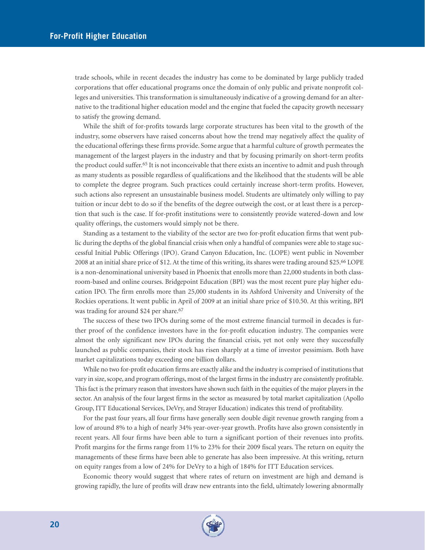trade schools, while in recent decades the industry has come to be dominated by large publicly traded corporations that offer educational programs once the domain of only public and private nonprofit colleges and universities. This transformation is simultaneously indicative of a growing demand for an alternative to the traditional higher education model and the engine that fueled the capacity growth necessary to satisfy the growing demand.

While the shift of for-profits towards large corporate structures has been vital to the growth of the industry, some observers have raised concerns about how the trend may negatively affect the quality of the educational offerings these firms provide. Some argue that a harmful culture of growth permeates the management of the largest players in the industry and that by focusing primarily on short-term profits the product could suffer.65 It is not inconceivable that there exists an incentive to admit and push through as many students as possible regardless of qualifications and the likelihood that the students will be able to complete the degree program. Such practices could certainly increase short-term profits. However, such actions also represent an unsustainable business model. Students are ultimately only willing to pay tuition or incur debt to do so if the benefits of the degree outweigh the cost, or at least there is a perception that such is the case. If for-profit institutions were to consistently provide watered-down and low quality offerings, the customers would simply not be there.

Standing as a testament to the viability of the sector are two for-profit education firms that went public during the depths of the global financial crisis when only a handful of companies were able to stage successful Initial Public Offerings (IPO). Grand Canyon Education, Inc. (LOPE) went public in November 2008 at an initial share price of \$12. At the time of this writing, its shares were trading around \$25.66 LOPE is a non-denominational university based in Phoenix that enrolls more than 22,000 students in both classroom-based and online courses. Bridgepoint Education (BPI) was the most recent pure play higher education IPO. The firm enrolls more than 25,000 students in its Ashford University and University of the Rockies operations. It went public in April of 2009 at an initial share price of \$10.50. At this writing, BPI was trading for around \$24 per share.<sup>67</sup>

The success of these two IPOs during some of the most extreme financial turmoil in decades is further proof of the confidence investors have in the for-profit education industry. The companies were almost the only significant new IPOs during the financial crisis, yet not only were they successfully launched as public companies, their stock has risen sharply at a time of investor pessimism. Both have market capitalizations today exceeding one billion dollars.

While no two for-profit education firms are exactly alike and the industry is comprised of institutions that vary in size, scope, and program offerings, most of the largest firms in the industry are consistently profitable. This fact is the primary reason that investors have shown such faith in the equities of the major players in the sector. An analysis of the four largest firms in the sector as measured by total market capitalization (Apollo Group, ITT Educational Services, DeVry, and Strayer Education) indicates this trend of profitability.

For the past four years, all four firms have generally seen double digit revenue growth ranging from a low of around 8% to a high of nearly 34% year-over-year growth. Profits have also grown consistently in recent years. All four firms have been able to turn a significant portion of their revenues into profits. Profit margins for the firms range from 11% to 23% for their 2009 fiscal years. The return on equity the managements of these firms have been able to generate has also been impressive. At this writing, return on equity ranges from a low of 24% for DeVry to a high of 184% for ITT Education services.

Economic theory would suggest that where rates of return on investment are high and demand is growing rapidly, the lure of profits will draw new entrants into the field, ultimately lowering abnormally

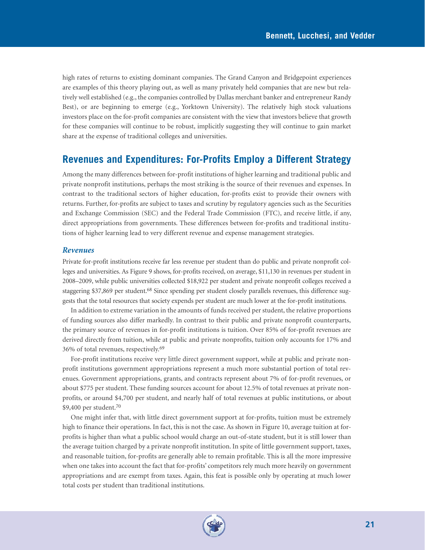high rates of returns to existing dominant companies. The Grand Canyon and Bridgepoint experiences are examples of this theory playing out, as well as many privately held companies that are new but relatively well established (e.g., the companies controlled by Dallas merchant banker and entrepreneur Randy Best), or are beginning to emerge (e.g., Yorktown University). The relatively high stock valuations investors place on the for-profit companies are consistent with the view that investors believe that growth for these companies will continue to be robust, implicitly suggesting they will continue to gain market share at the expense of traditional colleges and universities.

# **Revenues and Expenditures: For-Profits Employ a Different Strategy**

Among the many differences between for-profit institutions of higher learning and traditional public and private nonprofit institutions, perhaps the most striking is the source of their revenues and expenses. In contrast to the traditional sectors of higher education, for-profits exist to provide their owners with returns. Further, for-profits are subject to taxes and scrutiny by regulatory agencies such as the Securities and Exchange Commission (SEC) and the Federal Trade Commission (FTC), and receive little, if any, direct appropriations from governments. These differences between for-profits and traditional institutions of higher learning lead to very different revenue and expense management strategies.

#### *Revenues*

Private for-profit institutions receive far less revenue per student than do public and private nonprofit colleges and universities. As Figure 9 shows, for-profits received, on average, \$11,130 in revenues per student in 2008–2009, while public universities collected \$18,922 per student and private nonprofit colleges received a staggering \$37,869 per student.<sup>68</sup> Since spending per student closely parallels revenues, this difference suggests that the total resources that society expends per student are much lower at the for-profit institutions.

In addition to extreme variation in the amounts of funds received per student, the relative proportions of funding sources also differ markedly. In contrast to their public and private nonprofit counterparts, the primary source of revenues in for-profit institutions is tuition. Over 85% of for-profit revenues are derived directly from tuition, while at public and private nonprofits, tuition only accounts for 17% and 36% of total revenues, respectively.69

For-profit institutions receive very little direct government support, while at public and private nonprofit institutions government appropriations represent a much more substantial portion of total revenues. Government appropriations, grants, and contracts represent about 7% of for-profit revenues, or about \$775 per student. These funding sources account for about 12.5% of total revenues at private nonprofits, or around \$4,700 per student, and nearly half of total revenues at public institutions, or about \$9,400 per student.70

One might infer that, with little direct government support at for-profits, tuition must be extremely high to finance their operations. In fact, this is not the case. As shown in Figure 10, average tuition at forprofits is higher than what a public school would charge an out-of-state student, but it is still lower than the average tuition charged by a private nonprofit institution. In spite of little government support, taxes, and reasonable tuition, for-profits are generally able to remain profitable. This is all the more impressive when one takes into account the fact that for-profits' competitors rely much more heavily on government appropriations and are exempt from taxes. Again, this feat is possible only by operating at much lower total costs per student than traditional institutions.

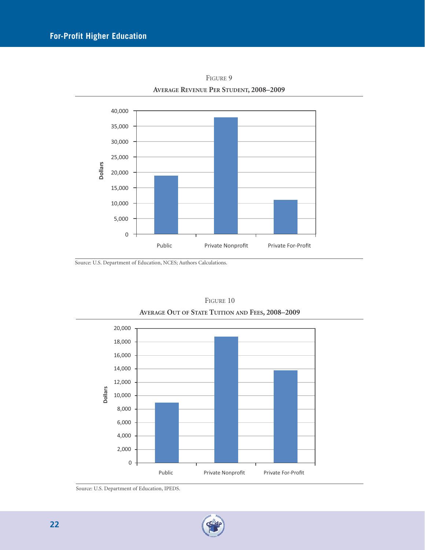

FIGURE 9 **AVERAGE REVENUE PER STUDENT, 2008–2009**

Source: U.S. Department of Education, NCES; Authors Calculations.



FIGURE 10 **AVERAGE OUT OF STATE TUITION AND FEES, 2008–2009**

Source: U.S. Department of Education, IPEDS.

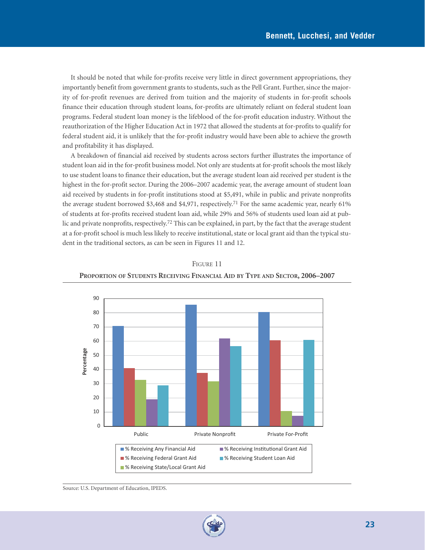It should be noted that while for-profits receive very little in direct government appropriations, they importantly benefit from government grants to students, such as the Pell Grant. Further, since the majority of for-profit revenues are derived from tuition and the majority of students in for-profit schools finance their education through student loans, for-profits are ultimately reliant on federal student loan programs. Federal student loan money is the lifeblood of the for-profit education industry. Without the reauthorization of the Higher Education Act in 1972 that allowed the students at for-profits to qualify for federal student aid, it is unlikely that the for-profit industry would have been able to achieve the growth and profitability it has displayed.

A breakdown of financial aid received by students across sectors further illustrates the importance of student loan aid in the for-profit business model. Not only are students at for-profit schools the most likely to use student loans to finance their education, but the average student loan aid received per student is the highest in the for-profit sector. During the 2006–2007 academic year, the average amount of student loan aid received by students in for-profit institutions stood at \$5,491, while in public and private nonprofits the average student borrowed \$3,468 and \$4,971, respectively.71 For the same academic year, nearly 61% of students at for-profits received student loan aid, while 29% and 56% of students used loan aid at public and private nonprofits, respectively.<sup>72</sup> This can be explained, in part, by the fact that the average student at a for-profit school is much less likely to receive institutional, state or local grant aid than the typical student in the traditional sectors, as can be seen in Figures 11 and 12.





Source: U.S. Department of Education, IPEDS.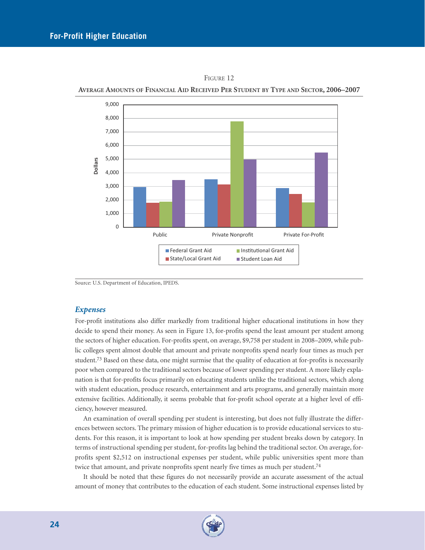

FIGURE 12

**AVERAGE AMOUNTS OF FINANCIAL AID RECEIVED PER STUDENT BY TYPE AND SECTOR, 2006–2007**

Source: U.S. Department of Education, IPEDS.

#### *Expenses*

For-profit institutions also differ markedly from traditional higher educational institutions in how they decide to spend their money. As seen in Figure 13, for-profits spend the least amount per student among the sectors of higher education. For-profits spent, on average, \$9,758 per student in 2008–2009, while public colleges spent almost double that amount and private nonprofits spend nearly four times as much per student.<sup>73</sup> Based on these data, one might surmise that the quality of education at for-profits is necessarily poor when compared to the traditional sectors because of lower spending per student. A more likely explanation is that for-profits focus primarily on educating students unlike the traditional sectors, which along with student education, produce research, entertainment and arts programs, and generally maintain more extensive facilities. Additionally, it seems probable that for-profit school operate at a higher level of efficiency, however measured.

An examination of overall spending per student is interesting, but does not fully illustrate the differences between sectors. The primary mission of higher education is to provide educational services to students. For this reason, it is important to look at how spending per student breaks down by category. In terms of instructional spending per student, for-profits lag behind the traditional sector. On average, forprofits spent \$2,512 on instructional expenses per student, while public universities spent more than twice that amount, and private nonprofits spent nearly five times as much per student.<sup>74</sup>

It should be noted that these figures do not necessarily provide an accurate assessment of the actual amount of money that contributes to the education of each student. Some instructional expenses listed by

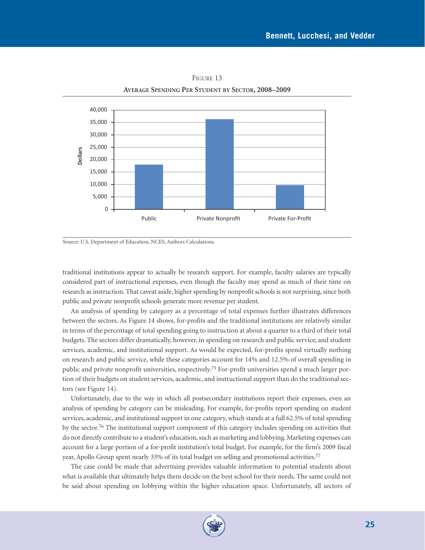

FIGURE 13 **AVERAGE SPENDING PER STUDENT BY SECTOR, 2008–2009**

Source: U.S. Department of Education, NCES; Authors Calculations.

traditional institutions appear to actually be research support. For example, faculty salaries are typically considered part of instructional expenses, even though the faculty may spend as much of their time on research as instruction. That caveat aside, higher spending by nonprofit schools is not surprising, since both public and private nonprofit schools generate more revenue per student.

An analysis of spending by category as a percentage of total expenses further illustrates differences between the sectors. As Figure 14 shows, for-profits and the traditional institutions are relatively similar in terms of the percentage of total spending going to instruction at about a quarter to a third of their total budgets. The sectors differ dramatically, however, in spending on research and public service; and student services, academic, and institutional support. As would be expected, for-profits spend virtually nothing on research and public service, while these categories account for 14% and 12.5% of overall spending in public and private nonprofit universities, respectively.75 For-profit universities spend a much larger portion of their budgets on student services, academic, and instructional support than do the traditional sectors (see Figure 14).

Unfortunately, due to the way in which all postsecondary institutions report their expenses, even an analysis of spending by category can be misleading. For example, for-profits report spending on student services, academic, and institutional support in one category, which stands at a full 62.5% of total spending by the sector.<sup>76</sup> The institutional support component of this category includes spending on activities that do not directly contribute to a student's education, such as marketing and lobbying. Marketing expenses can account for a large portion of a for-profit institution's total budget. For example, for the firm's 2009 fiscal year, Apollo Group spent nearly 33% of its total budget on selling and promotional activities.77

The case could be made that advertising provides valuable information to potential students about what is available that ultimately helps them decide on the best school for their needs. The same could not be said about spending on lobbying within the higher education space. Unfortunately, all sectors of

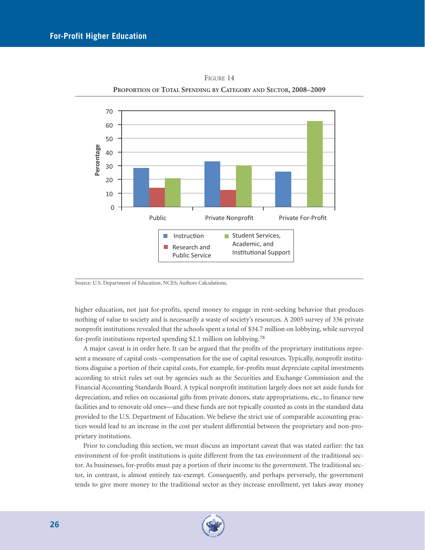

FIGURE 14 **PROPORTION OF TOTAL SPENDING BY CATEGORY AND SECTOR, 2008–2009**

Source: U.S. Department of Education, NCES; Authors Calculations.

higher education, not just for-profits, spend money to engage in rent-seeking behavior that produces nothing of value to society and is necessarily a waste of society's resources. A 2005 survey of 336 private nonprofit institutions revealed that the schools spent a total of \$34.7 million on lobbying, while surveyed for-profit institutions reported spending \$2.1 million on lobbying.78

A major caveat is in order here. It can be argued that the profits of the proprietary institutions represent a measure of capital costs –compensation for the use of capital resources. Typically, nonprofit institutions disguise a portion of their capital costs, For example, for-profits must depreciate capital investments according to strict rules set out by agencies such as the Securities and Exchange Commission and the Financial Accounting Standards Board. A typical nonprofit institution largely does not set aside funds for depreciation, and relies on occasional gifts from private donors, state appropriations, etc., to finance new facilities and to renovate old ones—and these funds are not typically counted as costs in the standard data provided to the U.S. Department of Education. We believe the strict use of comparable accounting practices would lead to an increase in the cost per student differential between the proprietary and non-proprietary institutions.

Prior to concluding this section, we must discuss an important caveat that was stated earlier: the tax environment of for-profit institutions is quite different from the tax environment of the traditional sector. As businesses, for-profits must pay a portion of their income to the government. The traditional sector, in contrast, is almost entirely tax-exempt. Consequently, and perhaps perversely, the government tends to give more money to the traditional sector as they increase enrollment, yet takes away money

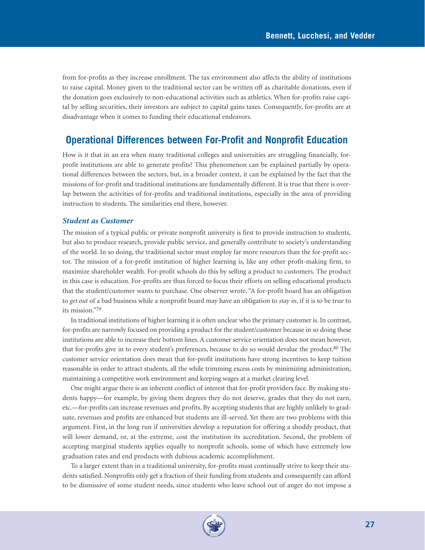from for-profits as they increase enrollment. The tax environment also affects the ability of institutions to raise capital. Money given to the traditional sector can be written off as charitable donations, even if the donation goes exclusively to non-educational activities such as athletics. When for-profits raise capital by selling securities, their investors are subject to capital gains taxes. Consequently, for-profits are at disadvantage when it comes to funding their educational endeavors.

# **Operational Differences between For-Profit and Nonprofit Education**

How is it that in an era when many traditional colleges and universities are struggling financially, forprofit institutions are able to generate profits? This phenomenon can be explained partially by operational differences between the sectors, but, in a broader context, it can be explained by the fact that the missions of for-profit and traditional institutions are fundamentally different. It is true that there is overlap between the activities of for-profits and traditional institutions, especially in the area of providing instruction to students. The similarities end there, however.

#### *Student as Customer*

The mission of a typical public or private nonprofit university is first to provide instruction to students, but also to produce research, provide public service, and generally contribute to society's understanding of the world. In so doing, the traditional sector must employ far more resources than the for-profit sector. The mission of a for-profit institution of higher learning is, like any other profit-making firm, to maximize shareholder wealth. For-profit schools do this by selling a product to customers. The product in this case is education. For-profits are thus forced to focus their efforts on selling educational products that the student/customer wants to purchase. One observer wrote, "A for-profit board has an obligation to *get out* of a bad business while a nonprofit board may have an obligation to *stay in*, if it is to be true to its mission."79

In traditional institutions of higher learning it is often unclear who the primary customer is. In contrast, for-profits are narrowly focused on providing a product for the student/customer because in so doing these institutions are able to increase their bottom lines. A customer service orientation does not mean however, that for-profits give in to every student's preferences, because to do so would devalue the product.80 The customer service orientation does mean that for-profit institutions have strong incentives to keep tuition reasonable in order to attract students, all the while trimming excess costs by minimizing administration, maintaining a competitive work environment and keeping wages at a market clearing level.

One might argue there is an inherent conflict of interest that for-profit providers face. By making students happy—for example, by giving them degrees they do not deserve, grades that they do not earn, etc.—for-profits can increase revenues and profits. By accepting students that are highly unlikely to graduate, revenues and profits are enhanced but students are ill-served. Yet there are two problems with this argument. First, in the long run if universities develop a reputation for offering a shoddy product, that will lower demand, or, at the extreme, cost the institution its accreditation. Second, the problem of accepting marginal students applies equally to nonprofit schools, some of which have extremely low graduation rates and end products with dubious academic accomplishment.

To a larger extent than in a traditional university, for-profits must continually strive to keep their students satisfied. Nonprofits only get a fraction of their funding from students and consequently can afford to be dismissive of some student needs, since students who leave school out of anger do not impose a

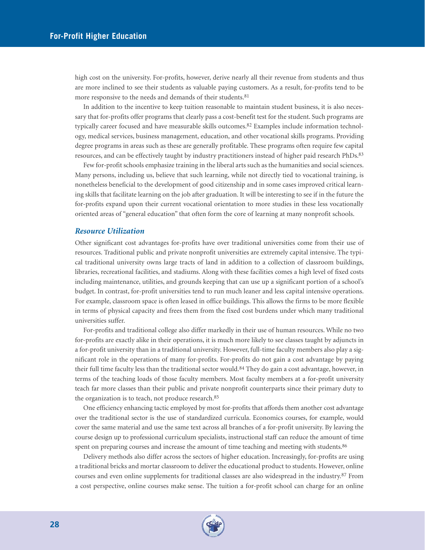high cost on the university. For-profits, however, derive nearly all their revenue from students and thus are more inclined to see their students as valuable paying customers. As a result, for-profits tend to be more responsive to the needs and demands of their students.<sup>81</sup>

In addition to the incentive to keep tuition reasonable to maintain student business, it is also necessary that for-profits offer programs that clearly pass a cost-benefit test for the student. Such programs are typically career focused and have measurable skills outcomes.<sup>82</sup> Examples include information technology, medical services, business management, education, and other vocational skills programs. Providing degree programs in areas such as these are generally profitable. These programs often require few capital resources, and can be effectively taught by industry practitioners instead of higher paid research PhDs.<sup>83</sup>

Few for-profit schools emphasize training in the liberal arts such as the humanities and social sciences. Many persons, including us, believe that such learning, while not directly tied to vocational training, is nonetheless beneficial to the development of good citizenship and in some cases improved critical learning skills that facilitate learning on the job after graduation. It will be interesting to see if in the future the for-profits expand upon their current vocational orientation to more studies in these less vocationally oriented areas of "general education" that often form the core of learning at many nonprofit schools.

#### *Resource Utilization*

Other significant cost advantages for-profits have over traditional universities come from their use of resources. Traditional public and private nonprofit universities are extremely capital intensive. The typical traditional university owns large tracts of land in addition to a collection of classroom buildings, libraries, recreational facilities, and stadiums. Along with these facilities comes a high level of fixed costs including maintenance, utilities, and grounds keeping that can use up a significant portion of a school's budget. In contrast, for-profit universities tend to run much leaner and less capital intensive operations. For example, classroom space is often leased in office buildings. This allows the firms to be more flexible in terms of physical capacity and frees them from the fixed cost burdens under which many traditional universities suffer.

For-profits and traditional college also differ markedly in their use of human resources. While no two for-profits are exactly alike in their operations, it is much more likely to see classes taught by adjuncts in a for-profit university than in a traditional university. However, full-time faculty members also play a significant role in the operations of many for-profits. For-profits do not gain a cost advantage by paying their full time faculty less than the traditional sector would.<sup>84</sup> They do gain a cost advantage, however, in terms of the teaching loads of those faculty members. Most faculty members at a for-profit university teach far more classes than their public and private nonprofit counterparts since their primary duty to the organization is to teach, not produce research.85

One efficiency enhancing tactic employed by most for-profits that affords them another cost advantage over the traditional sector is the use of standardized curricula. Economics courses, for example, would cover the same material and use the same text across all branches of a for-profit university. By leaving the course design up to professional curriculum specialists, instructional staff can reduce the amount of time spent on preparing courses and increase the amount of time teaching and meeting with students.<sup>86</sup>

Delivery methods also differ across the sectors of higher education. Increasingly, for-profits are using a traditional bricks and mortar classroom to deliver the educational product to students. However, online courses and even online supplements for traditional classes are also widespread in the industry.87 From a cost perspective, online courses make sense. The tuition a for-profit school can charge for an online

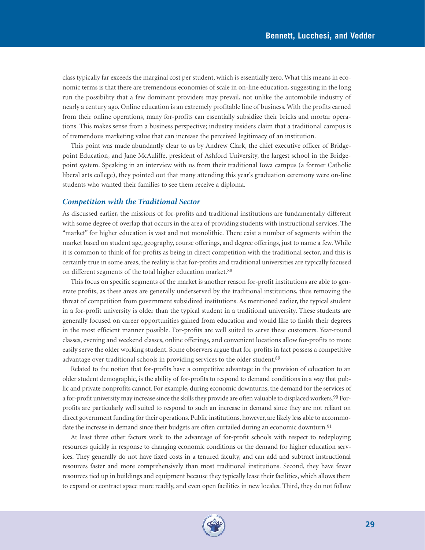class typically far exceeds the marginal cost per student, which is essentially zero. What this means in economic terms is that there are tremendous economies of scale in on-line education, suggesting in the long run the possibility that a few dominant providers may prevail, not unlike the automobile industry of nearly a century ago. Online education is an extremely profitable line of business. With the profits earned from their online operations, many for-profits can essentially subsidize their bricks and mortar operations. This makes sense from a business perspective; industry insiders claim that a traditional campus is of tremendous marketing value that can increase the perceived legitimacy of an institution.

This point was made abundantly clear to us by Andrew Clark, the chief executive officer of Bridgepoint Education, and Jane McAuliffe, president of Ashford University, the largest school in the Bridgepoint system. Speaking in an interview with us from their traditional Iowa campus (a former Catholic liberal arts college), they pointed out that many attending this year's graduation ceremony were on-line students who wanted their families to see them receive a diploma.

#### *Competition with the Traditional Sector*

As discussed earlier, the missions of for-profits and traditional institutions are fundamentally different with some degree of overlap that occurs in the area of providing students with instructional services. The "market" for higher education is vast and not monolithic. There exist a number of segments within the market based on student age, geography, course offerings, and degree offerings, just to name a few. While it is common to think of for-profits as being in direct competition with the traditional sector, and this is certainly true in some areas, the reality is that for-profits and traditional universities are typically focused on different segments of the total higher education market.<sup>88</sup>

This focus on specific segments of the market is another reason for-profit institutions are able to generate profits, as these areas are generally underserved by the traditional institutions, thus removing the threat of competition from government subsidized institutions. As mentioned earlier, the typical student in a for-profit university is older than the typical student in a traditional university. These students are generally focused on career opportunities gained from education and would like to finish their degrees in the most efficient manner possible. For-profits are well suited to serve these customers. Year-round classes, evening and weekend classes, online offerings, and convenient locations allow for-profits to more easily serve the older working student. Some observers argue that for-profits in fact possess a competitive advantage over traditional schools in providing services to the older student.<sup>89</sup>

Related to the notion that for-profits have a competitive advantage in the provision of education to an older student demographic, is the ability of for-profits to respond to demand conditions in a way that public and private nonprofits cannot. For example, during economic downturns, the demand for the services of a for-profit university may increase since the skills they provide are often valuable to displaced workers.<sup>90</sup> Forprofits are particularly well suited to respond to such an increase in demand since they are not reliant on direct government funding for their operations. Public institutions, however, are likely less able to accommodate the increase in demand since their budgets are often curtailed during an economic downturn.<sup>91</sup>

At least three other factors work to the advantage of for-profit schools with respect to redeploying resources quickly in response to changing economic conditions or the demand for higher education services. They generally do not have fixed costs in a tenured faculty, and can add and subtract instructional resources faster and more comprehensively than most traditional institutions. Second, they have fewer resources tied up in buildings and equipment because they typically lease their facilities, which allows them to expand or contract space more readily, and even open facilities in new locales. Third, they do not follow

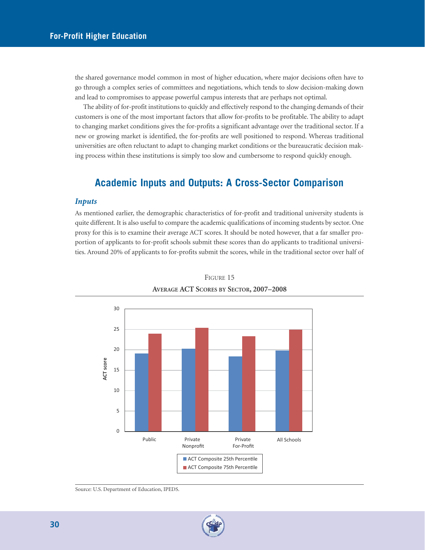the shared governance model common in most of higher education, where major decisions often have to go through a complex series of committees and negotiations, which tends to slow decision-making down and lead to compromises to appease powerful campus interests that are perhaps not optimal.

The ability of for-profit institutions to quickly and effectively respond to the changing demands of their customers is one of the most important factors that allow for-profits to be profitable. The ability to adapt to changing market conditions gives the for-profits a significant advantage over the traditional sector. If a new or growing market is identified, the for-profits are well positioned to respond. Whereas traditional universities are often reluctant to adapt to changing market conditions or the bureaucratic decision making process within these institutions is simply too slow and cumbersome to respond quickly enough.

# **Academic Inputs and Outputs: A Cross-Sector Comparison**

#### *Inputs*

As mentioned earlier, the demographic characteristics of for-profit and traditional university students is quite different. It is also useful to compare the academic qualifications of incoming students by sector. One proxy for this is to examine their average ACT scores. It should be noted however, that a far smaller proportion of applicants to for-profit schools submit these scores than do applicants to traditional universities. Around 20% of applicants to for-profits submit the scores, while in the traditional sector over half of





Source: U.S. Department of Education, IPEDS.

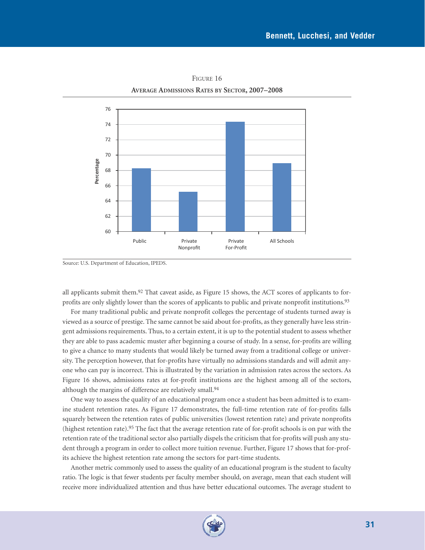

FIGURE 16 **AVERAGE ADMISSIONS RATES BY SECTOR, 2007–2008**

all applicants submit them.<sup>92</sup> That caveat aside, as Figure 15 shows, the ACT scores of applicants to forprofits are only slightly lower than the scores of applicants to public and private nonprofit institutions.93

For many traditional public and private nonprofit colleges the percentage of students turned away is viewed as a source of prestige. The same cannot be said about for-profits, as they generally have less stringent admissions requirements. Thus, to a certain extent, it is up to the potential student to assess whether they are able to pass academic muster after beginning a course of study. In a sense, for-profits are willing to give a chance to many students that would likely be turned away from a traditional college or university. The perception however, that for-profits have virtually no admissions standards and will admit anyone who can pay is incorrect. This is illustrated by the variation in admission rates across the sectors. As Figure 16 shows, admissions rates at for-profit institutions are the highest among all of the sectors, although the margins of difference are relatively small.94

One way to assess the quality of an educational program once a student has been admitted is to examine student retention rates. As Figure 17 demonstrates, the full-time retention rate of for-profits falls squarely between the retention rates of public universities (lowest retention rate) and private nonprofits (highest retention rate).95 The fact that the average retention rate of for-profit schools is on par with the retention rate of the traditional sector also partially dispels the criticism that for-profits will push any student through a program in order to collect more tuition revenue. Further, Figure 17 shows that for-profits achieve the highest retention rate among the sectors for part-time students.

Another metric commonly used to assess the quality of an educational program is the student to faculty ratio. The logic is that fewer students per faculty member should, on average, mean that each student will receive more individualized attention and thus have better educational outcomes. The average student to



Source: U.S. Department of Education, IPEDS.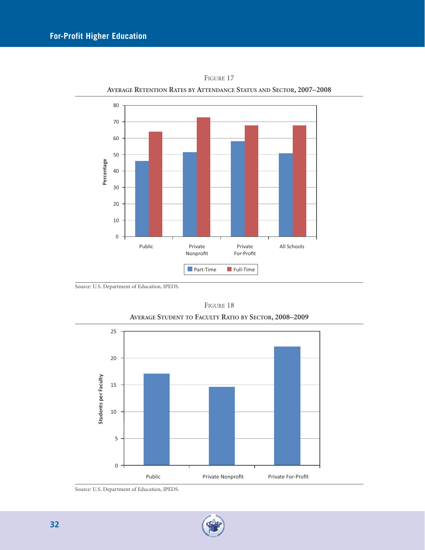

FIGURE 17 **AVERAGE RETENTION RATES BY ATTENDANCE STATUS AND SECTOR, 2007–2008**

Source: U.S. Department of Education, IPEDS.



FIGURE 18 **AVERAGE STUDENT TO FACULTY RATIO BY SECTOR, 2008–2009**

Source: U.S. Department of Education, IPEDS.

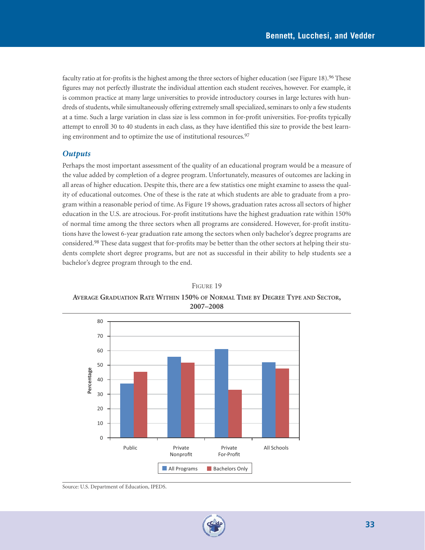faculty ratio at for-profits is the highest among the three sectors of higher education (see Figure 18).<sup>96</sup> These figures may not perfectly illustrate the individual attention each student receives, however. For example, it is common practice at many large universities to provide introductory courses in large lectures with hundreds of students, while simultaneously offering extremely small specialized, seminars to only a few students at a time. Such a large variation in class size is less common in for-profit universities. For-profits typically attempt to enroll 30 to 40 students in each class, as they have identified this size to provide the best learning environment and to optimize the use of institutional resources.<sup>97</sup>

#### *Outputs*

Perhaps the most important assessment of the quality of an educational program would be a measure of the value added by completion of a degree program. Unfortunately, measures of outcomes are lacking in all areas of higher education. Despite this, there are a few statistics one might examine to assess the quality of educational outcomes. One of these is the rate at which students are able to graduate from a program within a reasonable period of time. As Figure 19 shows, graduation rates across all sectors of higher education in the U.S. are atrocious. For-profit institutions have the highest graduation rate within 150% of normal time among the three sectors when all programs are considered. However, for-profit institutions have the lowest 6-year graduation rate among the sectors when only bachelor's degree programs are considered.98 These data suggest that for-profits may be better than the other sectors at helping their students complete short degree programs, but are not as successful in their ability to help students see a bachelor's degree program through to the end.

FIGURE 19 **AVERAGE GRADUATION RATE WITHIN 150% OF NORMAL TIME BY DEGREE TYPE AND SECTOR, 2007–2008**



Source: U.S. Department of Education, IPEDS.

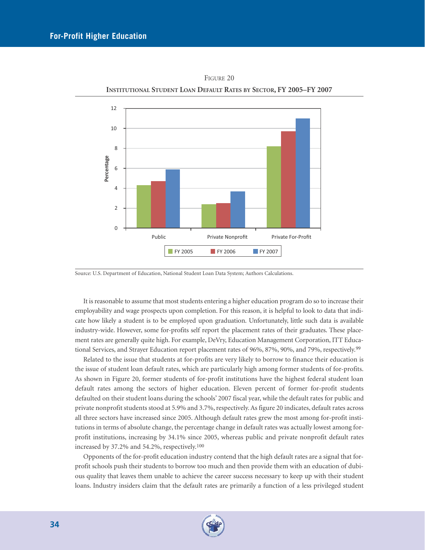

FIGURE 20 **INSTITUTIONAL STUDENT LOAN DEFAULT RATES BY SECTOR, FY 2005–FY 2007**

It is reasonable to assume that most students entering a higher education program do so to increase their employability and wage prospects upon completion. For this reason, it is helpful to look to data that indicate how likely a student is to be employed upon graduation. Unfortunately, little such data is available industry-wide. However, some for-profits self report the placement rates of their graduates. These placement rates are generally quite high. For example, DeVry, Education Management Corporation, ITT Educational Services, and Strayer Education report placement rates of 96%, 87%, 90%, and 79%, respectively.<sup>99</sup>

Related to the issue that students at for-profits are very likely to borrow to finance their education is the issue of student loan default rates, which are particularly high among former students of for-profits. As shown in Figure 20, former students of for-profit institutions have the highest federal student loan default rates among the sectors of higher education. Eleven percent of former for-profit students defaulted on their student loans during the schools' 2007 fiscal year, while the default rates for public and private nonprofit students stood at 5.9% and 3.7%, respectively. As figure 20 indicates, default rates across all three sectors have increased since 2005. Although default rates grew the most among for-profit institutions in terms of absolute change, the percentage change in default rates was actually lowest among forprofit institutions, increasing by 34.1% since 2005, whereas public and private nonprofit default rates increased by 37.2% and 54.2%, respectively.100

Opponents of the for-profit education industry contend that the high default rates are a signal that forprofit schools push their students to borrow too much and then provide them with an education of dubious quality that leaves them unable to achieve the career success necessary to keep up with their student loans. Industry insiders claim that the default rates are primarily a function of a less privileged student



Source: U.S. Department of Education, National Student Loan Data System; Authors Calculations.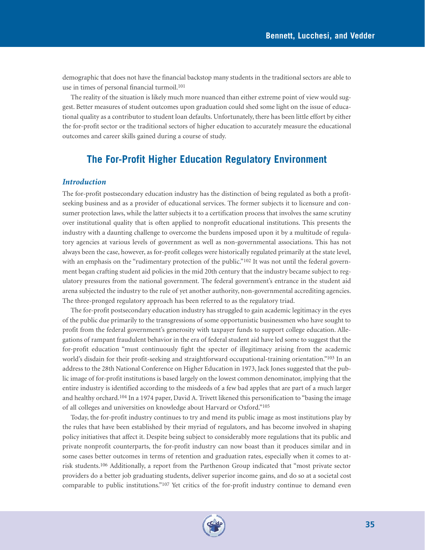demographic that does not have the financial backstop many students in the traditional sectors are able to use in times of personal financial turmoil.101

The reality of the situation is likely much more nuanced than either extreme point of view would suggest. Better measures of student outcomes upon graduation could shed some light on the issue of educational quality as a contributor to student loan defaults. Unfortunately, there has been little effort by either the for-profit sector or the traditional sectors of higher education to accurately measure the educational outcomes and career skills gained during a course of study.

# **The For-Profit Higher Education Regulatory Environment**

#### *Introduction*

The for-profit postsecondary education industry has the distinction of being regulated as both a profitseeking business and as a provider of educational services. The former subjects it to licensure and consumer protection laws, while the latter subjects it to a certification process that involves the same scrutiny over institutional quality that is often applied to nonprofit educational institutions. This presents the industry with a daunting challenge to overcome the burdens imposed upon it by a multitude of regulatory agencies at various levels of government as well as non-governmental associations. This has not always been the case, however, as for-profit colleges were historically regulated primarily at the state level, with an emphasis on the "rudimentary protection of the public."<sup>102</sup> It was not until the federal government began crafting student aid policies in the mid 20th century that the industry became subject to regulatory pressures from the national government. The federal government's entrance in the student aid arena subjected the industry to the rule of yet another authority, non-governmental accrediting agencies. The three-pronged regulatory approach has been referred to as the regulatory triad.

The for-profit postsecondary education industry has struggled to gain academic legitimacy in the eyes of the public due primarily to the transgressions of some opportunistic businessmen who have sought to profit from the federal government's generosity with taxpayer funds to support college education. Allegations of rampant fraudulent behavior in the era of federal student aid have led some to suggest that the for-profit education "must continuously fight the specter of illegitimacy arising from the academic world's disdain for their profit-seeking and straightforward occupational-training orientation."<sup>103</sup> In an address to the 28th National Conference on Higher Education in 1973, Jack Jones suggested that the public image of for-profit institutions is based largely on the lowest common denominator, implying that the entire industry is identified according to the misdeeds of a few bad apples that are part of a much larger and healthy orchard.104 In a 1974 paper, David A. Trivett likened this personification to "basing the image of all colleges and universities on knowledge about Harvard or Oxford."105

Today, the for-profit industry continues to try and mend its public image as most institutions play by the rules that have been established by their myriad of regulators, and has become involved in shaping policy initiatives that affect it. Despite being subject to considerably more regulations that its public and private nonprofit counterparts, the for-profit industry can now boast than it produces similar and in some cases better outcomes in terms of retention and graduation rates, especially when it comes to atrisk students.106 Additionally, a report from the Parthenon Group indicated that "most private sector providers do a better job graduating students, deliver superior income gains, and do so at a societal cost comparable to public institutions."107 Yet critics of the for-profit industry continue to demand even

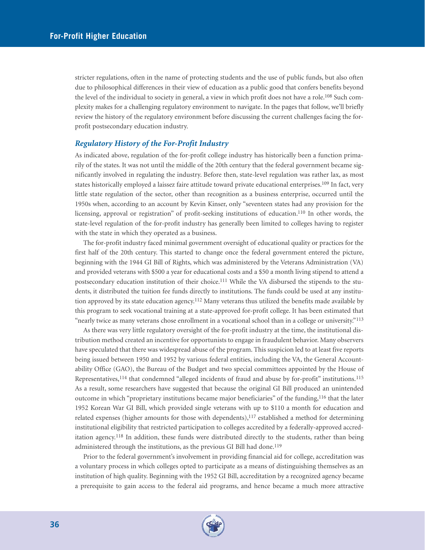stricter regulations, often in the name of protecting students and the use of public funds, but also often due to philosophical differences in their view of education as a public good that confers benefits beyond the level of the individual to society in general, a view in which profit does not have a role.108 Such complexity makes for a challenging regulatory environment to navigate. In the pages that follow, we'll briefly review the history of the regulatory environment before discussing the current challenges facing the forprofit postsecondary education industry.

#### *Regulatory History of the For-Profit Industry*

As indicated above, regulation of the for-profit college industry has historically been a function primarily of the states. It was not until the middle of the 20th century that the federal government became significantly involved in regulating the industry. Before then, state-level regulation was rather lax, as most states historically employed a laissez faire attitude toward private educational enterprises.109 In fact, very little state regulation of the sector, other than recognition as a business enterprise, occurred until the 1950s when, according to an account by Kevin Kinser, only "seventeen states had any provision for the licensing, approval or registration" of profit-seeking institutions of education.110 In other words, the state-level regulation of the for-profit industry has generally been limited to colleges having to register with the state in which they operated as a business.

The for-profit industry faced minimal government oversight of educational quality or practices for the first half of the 20th century. This started to change once the federal government entered the picture, beginning with the 1944 GI Bill of Rights, which was administered by the Veterans Administration (VA) and provided veterans with \$500 a year for educational costs and a \$50 a month living stipend to attend a postsecondary education institution of their choice.<sup>111</sup> While the VA disbursed the stipends to the students, it distributed the tuition fee funds directly to institutions. The funds could be used at any institution approved by its state education agency.112 Many veterans thus utilized the benefits made available by this program to seek vocational training at a state-approved for-profit college. It has been estimated that "nearly twice as many veterans chose enrollment in a vocational school than in a college or university."113

As there was very little regulatory oversight of the for-profit industry at the time, the institutional distribution method created an incentive for opportunists to engage in fraudulent behavior. Many observers have speculated that there was widespread abuse of the program. This suspicion led to at least five reports being issued between 1950 and 1952 by various federal entities, including the VA, the General Accountability Office (GAO), the Bureau of the Budget and two special committees appointed by the House of Representatives,114 that condemned "alleged incidents of fraud and abuse by for-profit" institutions.115 As a result, some researchers have suggested that because the original GI Bill produced an unintended outcome in which "proprietary institutions became major beneficiaries" of the funding,116 that the later 1952 Korean War GI Bill, which provided single veterans with up to \$110 a month for education and related expenses (higher amounts for those with dependents), $117$  established a method for determining institutional eligibility that restricted participation to colleges accredited by a federally-approved accreditation agency.118 In addition, these funds were distributed directly to the students, rather than being administered through the institutions, as the previous GI Bill had done.<sup>119</sup>

Prior to the federal government's involvement in providing financial aid for college, accreditation was a voluntary process in which colleges opted to participate as a means of distinguishing themselves as an institution of high quality. Beginning with the 1952 GI Bill, accreditation by a recognized agency became a prerequisite to gain access to the federal aid programs, and hence became a much more attractive

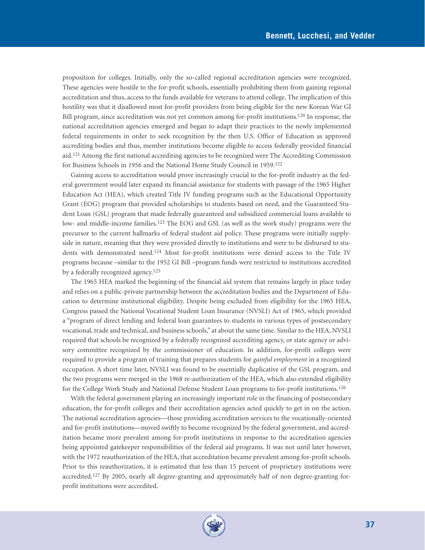proposition for colleges. Initially, only the so-called regional accreditation agencies were recognized. These agencies were hostile to the for-profit schools, essentially prohibiting them from gaining regional accreditation and thus, access to the funds available for veterans to attend college. The implication of this hostility was that it disallowed most for-profit providers from being eligible for the new Korean War GI Bill program, since accreditation was not yet common among for-profit institutions.120 In response, the national accreditation agencies emerged and began to adapt their practices to the newly implemented federal requirements in order to seek recognition by the then U.S. Office of Education as approved accrediting bodies and thus, member institutions become eligible to access federally provided financial aid.121 Among the first national accrediting agencies to be recognized were The Accrediting Commission for Business Schools in 1956 and the National Home Study Council in 1959.122

Gaining access to accreditation would prove increasingly crucial to the for-profit industry as the federal government would later expand its financial assistance for students with passage of the 1965 Higher Education Act (HEA), which created Title IV funding programs such as the Educational Opportunity Grant (EOG) program that provided scholarships to students based on need, and the Guaranteed Student Loan (GSL) program that made federally guaranteed and subsidized commercial loans available to low- and middle-income families.<sup>123</sup> The EOG and GSL (as well as the work study) programs were the precursor to the current hallmarks of federal student aid policy. These programs were initially supplyside in nature, meaning that they were provided directly to institutions and were to be disbursed to students with demonstrated need.124 Most for-profit institutions were denied access to the Title IV programs because –similar to the 1952 GI Bill –program funds were restricted to institutions accredited by a federally recognized agency.<sup>125</sup>

The 1965 HEA marked the beginning of the financial aid system that remains largely in place today and relies on a public-private partnership between the accreditation bodies and the Department of Education to determine institutional eligibility. Despite being excluded from eligibility for the 1965 HEA, Congress passed the National Vocational Student Loan Insurance (NVSLI) Act of 1965, which provided a "program of direct lending and federal loan guarantees to students in various types of postsecondary vocational, trade and technical, and business schools," at about the same time. Similar to the HEA, NVSLI required that schools be recognized by a federally recognized accrediting agency, or state agency or advisory committee recognized by the commissioner of education. In addition, for-profit colleges were required to provide a program of training that prepares students for *gainful employment* in a recognized occupation. A short time later, NVSLI was found to be essentially duplicative of the GSL program, and the two programs were merged in the 1968 re-authorization of the HEA, which also extended eligibility for the College Work Study and National Defense Student Loan programs to for-profit institutions.126

With the federal government playing an increasingly important role in the financing of postsecondary education, the for-profit colleges and their accreditation agencies acted quickly to get in on the action. The national accreditation agencies—those providing accreditation services to the vocationally-oriented and for-profit institutions—moved swiftly to become recognized by the federal government, and accreditation became more prevalent among for-profit institutions in response to the accreditation agencies being appointed gatekeeper responsibilities of the federal aid programs. It was not until later however, with the 1972 reauthorization of the HEA, that accreditation became prevalent among for-profit schools. Prior to this reauthorization, it is estimated that less than 15 percent of proprietary institutions were accredited.<sup>127</sup> By 2005, nearly all degree-granting and approximately half of non degree-granting forprofit institutions were accredited.

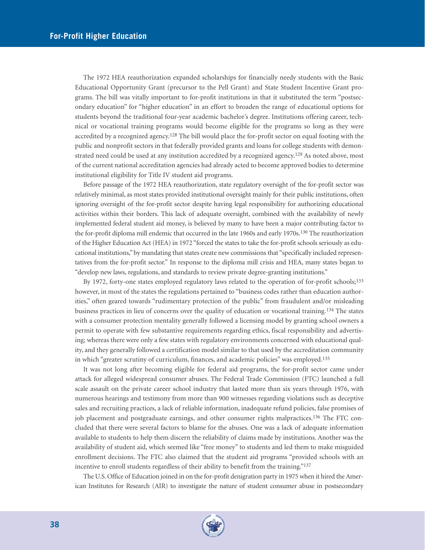The 1972 HEA reauthorization expanded scholarships for financially needy students with the Basic Educational Opportunity Grant (precursor to the Pell Grant) and State Student Incentive Grant programs. The bill was vitally important to for-profit institutions in that it substituted the term "postsecondary education" for "higher education" in an effort to broaden the range of educational options for students beyond the traditional four-year academic bachelor's degree. Institutions offering career, technical or vocational training programs would become eligible for the programs so long as they were accredited by a recognized agency.<sup>128</sup> The bill would place the for-profit sector on equal footing with the public and nonprofit sectors in that federally provided grants and loans for college students with demonstrated need could be used at any institution accredited by a recognized agency.<sup>129</sup> As noted above, most of the current national accreditation agencies had already acted to become approved bodies to determine institutional eligibility for Title IV student aid programs.

Before passage of the 1972 HEA reauthorization, state regulatory oversight of the for-profit sector was relatively minimal, as most states provided institutional oversight mainly for their public institutions, often ignoring oversight of the for-profit sector despite having legal responsibility for authorizing educational activities within their borders. This lack of adequate oversight, combined with the availability of newly implemented federal student aid money, is believed by many to have been a major contributing factor to the for-profit diploma mill endemic that occurred in the late 1960s and early 1970s.130 The reauthorization of the Higher Education Act (HEA) in 1972 "forced the states to take the for-profit schools seriously as educational institutions," by mandating that states create new commissions that "specifically included representatives from the for-profit sector." In response to the diploma mill crisis and HEA, many states began to "develop new laws, regulations, and standards to review private degree-granting institutions."

By 1972, forty-one states employed regulatory laws related to the operation of for-profit schools;<sup>133</sup> however, in most of the states the regulations pertained to "business codes rather than education authorities," often geared towards "rudimentary protection of the public" from fraudulent and/or misleading business practices in lieu of concerns over the quality of education or vocational training.134 The states with a consumer protection mentality generally followed a licensing model by granting school owners a permit to operate with few substantive requirements regarding ethics, fiscal responsibility and advertising; whereas there were only a few states with regulatory environments concerned with educational quality, and they generally followed a certification model similar to that used by the accreditation community in which "greater scrutiny of curriculum, finances, and academic policies" was employed.135

It was not long after becoming eligible for federal aid programs, the for-profit sector came under attack for alleged widespread consumer abuses. The Federal Trade Commission (FTC) launched a full scale assault on the private career school industry that lasted more than six years through 1976, with numerous hearings and testimony from more than 900 witnesses regarding violations such as deceptive sales and recruiting practices, a lack of reliable information, inadequate refund policies, false promises of job placement and postgraduate earnings, and other consumer rights malpractices.136 The FTC concluded that there were several factors to blame for the abuses. One was a lack of adequate information available to students to help them discern the reliability of claims made by institutions. Another was the availability of student aid, which seemed like "free money" to students and led them to make misguided enrollment decisions. The FTC also claimed that the student aid programs "provided schools with an incentive to enroll students regardless of their ability to benefit from the training."137

The U.S. Office of Education joined in on the for-profit denigration party in 1975 when it hired the American Institutes for Research (AIR) to investigate the nature of student consumer abuse in postsecondary

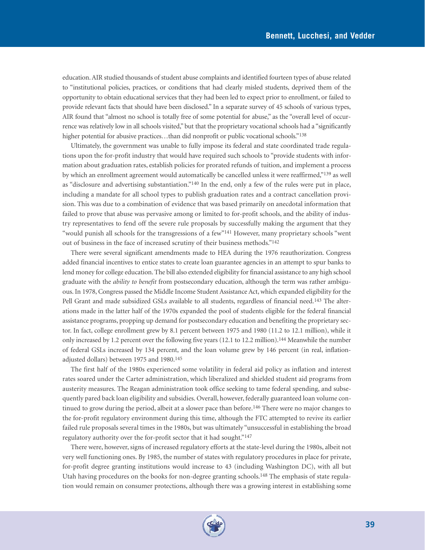education. AIR studied thousands of student abuse complaints and identified fourteen types of abuse related to "institutional policies, practices, or conditions that had clearly misled students, deprived them of the opportunity to obtain educational services that they had been led to expect prior to enrollment, or failed to provide relevant facts that should have been disclosed." In a separate survey of 45 schools of various types, AIR found that "almost no school is totally free of some potential for abuse," as the "overall level of occurrence was relatively low in all schools visited," but that the proprietary vocational schools had a "significantly higher potential for abusive practices...than did nonprofit or public vocational schools."<sup>138</sup>

Ultimately, the government was unable to fully impose its federal and state coordinated trade regulations upon the for-profit industry that would have required such schools to "provide students with information about graduation rates, establish policies for prorated refunds of tuition, and implement a process by which an enrollment agreement would automatically be cancelled unless it were reaffirmed,"139 as well as "disclosure and advertising substantiation."140 In the end, only a few of the rules were put in place, including a mandate for all school types to publish graduation rates and a contract cancellation provision. This was due to a combination of evidence that was based primarily on anecdotal information that failed to prove that abuse was pervasive among or limited to for-profit schools, and the ability of industry representatives to fend off the severe rule proposals by successfully making the argument that they "would punish all schools for the transgressions of a few"141 However, many proprietary schools "went out of business in the face of increased scrutiny of their business methods."142

There were several significant amendments made to HEA during the 1976 reauthorization. Congress added financial incentives to entice states to create loan guarantee agencies in an attempt to spur banks to lend money for college education. The bill also extended eligibility for financial assistance to any high school graduate with the *ability to benefit* from postsecondary education, although the term was rather ambiguous. In 1978, Congress passed the Middle Income Student Assistance Act, which expanded eligibility for the Pell Grant and made subsidized GSLs available to all students, regardless of financial need.143 The alterations made in the latter half of the 1970s expanded the pool of students eligible for the federal financial assistance programs, propping up demand for postsecondary education and benefiting the proprietary sector. In fact, college enrollment grew by 8.1 percent between 1975 and 1980 (11.2 to 12.1 million), while it only increased by 1.2 percent over the following five years (12.1 to 12.2 million).144 Meanwhile the number of federal GSLs increased by 134 percent, and the loan volume grew by 146 percent (in real, inflationadjusted dollars) between 1975 and 1980.145

The first half of the 1980s experienced some volatility in federal aid policy as inflation and interest rates soared under the Carter administration, which liberalized and shielded student aid programs from austerity measures. The Reagan administration took office seeking to tame federal spending, and subsequently pared back loan eligibility and subsidies. Overall, however, federally guaranteed loan volume continued to grow during the period, albeit at a slower pace than before.146 There were no major changes to the for-profit regulatory environment during this time, although the FTC attempted to revive its earlier failed rule proposals several times in the 1980s, but was ultimately "unsuccessful in establishing the broad regulatory authority over the for-profit sector that it had sought."147

There were, however, signs of increased regulatory efforts at the state-level during the 1980s, albeit not very well functioning ones. By 1985, the number of states with regulatory procedures in place for private, for-profit degree granting institutions would increase to 43 (including Washington DC), with all but Utah having procedures on the books for non-degree granting schools.<sup>148</sup> The emphasis of state regulation would remain on consumer protections, although there was a growing interest in establishing some

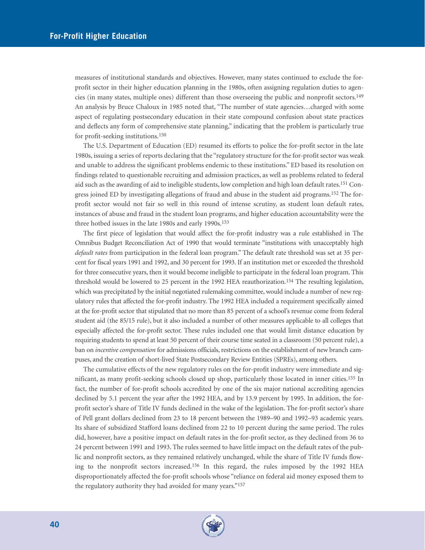measures of institutional standards and objectives. However, many states continued to exclude the forprofit sector in their higher education planning in the 1980s, often assigning regulation duties to agencies (in many states, multiple ones) different than those overseeing the public and nonprofit sectors.149 An analysis by Bruce Chaloux in 1985 noted that, "The number of state agencies…charged with some aspect of regulating postsecondary education in their state compound confusion about state practices and deflects any form of comprehensive state planning," indicating that the problem is particularly true for profit-seeking institutions.150

The U.S. Department of Education (ED) resumed its efforts to police the for-profit sector in the late 1980s, issuing a series of reports declaring that the "regulatory structure for the for-profit sector was weak and unable to address the significant problems endemic to these institutions." ED based its resolution on findings related to questionable recruiting and admission practices, as well as problems related to federal aid such as the awarding of aid to ineligible students, low completion and high loan default rates.151 Congress joined ED by investigating allegations of fraud and abuse in the student aid programs.<sup>152</sup> The forprofit sector would not fair so well in this round of intense scrutiny, as student loan default rates, instances of abuse and fraud in the student loan programs, and higher education accountability were the three hotbed issues in the late 1980s and early 1990s.<sup>153</sup>

The first piece of legislation that would affect the for-profit industry was a rule established in The Omnibus Budget Reconciliation Act of 1990 that would terminate "institutions with unacceptably high *default rates* from participation in the federal loan program." The default rate threshold was set at 35 percent for fiscal years 1991 and 1992, and 30 percent for 1993. If an institution met or exceeded the threshold for three consecutive years, then it would become ineligible to participate in the federal loan program. This threshold would be lowered to 25 percent in the 1992 HEA reauthorization.154 The resulting legislation, which was precipitated by the initial negotiated rulemaking committee, would include a number of new regulatory rules that affected the for-profit industry. The 1992 HEA included a requirement specifically aimed at the for-profit sector that stipulated that no more than 85 percent of a school's revenue come from federal student aid (the 85/15 rule), but it also included a number of other measures applicable to all colleges that especially affected the for-profit sector. These rules included one that would limit distance education by requiring students to spend at least 50 percent of their course time seated in a classroom (50 percent rule), a ban on *incentive compensation* for admissions officials, restrictions on the establishment of new branch campuses, and the creation of short-lived State Postsecondary Review Entities (SPREs), among others.

The cumulative effects of the new regulatory rules on the for-profit industry were immediate and significant, as many profit-seeking schools closed up shop, particularly those located in inner cities.155 In fact, the number of for-profit schools accredited by one of the six major national accrediting agencies declined by 5.1 percent the year after the 1992 HEA, and by 13.9 percent by 1995. In addition, the forprofit sector's share of Title IV funds declined in the wake of the legislation. The for-profit sector's share of Pell grant dollars declined from 23 to 18 percent between the 1989–90 and 1992–93 academic years. Its share of subsidized Stafford loans declined from 22 to 10 percent during the same period. The rules did, however, have a positive impact on default rates in the for-profit sector, as they declined from 36 to 24 percent between 1991 and 1993. The rules seemed to have little impact on the default rates of the public and nonprofit sectors, as they remained relatively unchanged, while the share of Title IV funds flowing to the nonprofit sectors increased.156 In this regard, the rules imposed by the 1992 HEA disproportionately affected the for-profit schools whose "reliance on federal aid money exposed them to the regulatory authority they had avoided for many years."157

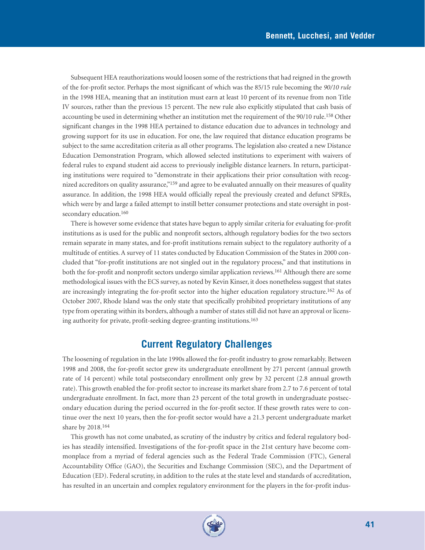Subsequent HEA reauthorizations would loosen some of the restrictions that had reigned in the growth of the for-profit sector. Perhaps the most significant of which was the 85/15 rule becoming the *90/10 rule* in the 1998 HEA, meaning that an institution must earn at least 10 percent of its revenue from non Title IV sources, rather than the previous 15 percent. The new rule also explicitly stipulated that cash basis of accounting be used in determining whether an institution met the requirement of the 90/10 rule.158 Other significant changes in the 1998 HEA pertained to distance education due to advances in technology and growing support for its use in education. For one, the law required that distance education programs be subject to the same accreditation criteria as all other programs. The legislation also created a new Distance Education Demonstration Program, which allowed selected institutions to experiment with waivers of federal rules to expand student aid access to previously ineligible distance learners. In return, participating institutions were required to "demonstrate in their applications their prior consultation with recognized accreditors on quality assurance,"159 and agree to be evaluated annually on their measures of quality assurance. In addition, the 1998 HEA would officially repeal the previously created and defunct SPREs, which were by and large a failed attempt to instill better consumer protections and state oversight in postsecondary education.<sup>160</sup>

There is however some evidence that states have begun to apply similar criteria for evaluating for-profit institutions as is used for the public and nonprofit sectors, although regulatory bodies for the two sectors remain separate in many states, and for-profit institutions remain subject to the regulatory authority of a multitude of entities. A survey of 11 states conducted by Education Commission of the States in 2000 concluded that "for-profit institutions are not singled out in the regulatory process," and that institutions in both the for-profit and nonprofit sectors undergo similar application reviews.161 Although there are some methodological issues with the ECS survey, as noted by Kevin Kinser, it does nonetheless suggest that states are increasingly integrating the for-profit sector into the higher education regulatory structure.162 As of October 2007, Rhode Island was the only state that specifically prohibited proprietary institutions of any type from operating within its borders, although a number of states still did not have an approval or licensing authority for private, profit-seeking degree-granting institutions.163

# **Current Regulatory Challenges**

The loosening of regulation in the late 1990s allowed the for-profit industry to grow remarkably. Between 1998 and 2008, the for-profit sector grew its undergraduate enrollment by 271 percent (annual growth rate of 14 percent) while total postsecondary enrollment only grew by 32 percent (2.8 annual growth rate). This growth enabled the for-profit sector to increase its market share from 2.7 to 7.6 percent of total undergraduate enrollment. In fact, more than 23 percent of the total growth in undergraduate postsecondary education during the period occurred in the for-profit sector. If these growth rates were to continue over the next 10 years, then the for-profit sector would have a 21.3 percent undergraduate market share by 2018.164

This growth has not come unabated, as scrutiny of the industry by critics and federal regulatory bodies has steadily intensified. Investigations of the for-profit space in the 21st century have become commonplace from a myriad of federal agencies such as the Federal Trade Commission (FTC), General Accountability Office (GAO), the Securities and Exchange Commission (SEC), and the Department of Education (ED). Federal scrutiny, in addition to the rules at the state level and standards of accreditation, has resulted in an uncertain and complex regulatory environment for the players in the for-profit indus-

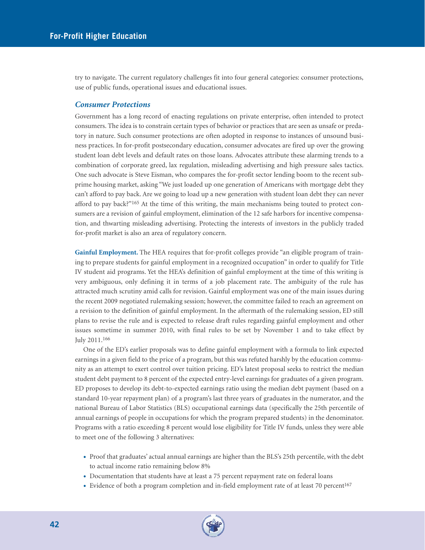try to navigate. The current regulatory challenges fit into four general categories: consumer protections, use of public funds, operational issues and educational issues.

#### *Consumer Protections*

Government has a long record of enacting regulations on private enterprise, often intended to protect consumers. The idea is to constrain certain types of behavior or practices that are seen as unsafe or predatory in nature. Such consumer protections are often adopted in response to instances of unsound business practices. In for-profit postsecondary education, consumer advocates are fired up over the growing student loan debt levels and default rates on those loans. Advocates attribute these alarming trends to a combination of corporate greed, lax regulation, misleading advertising and high pressure sales tactics. One such advocate is Steve Eisman, who compares the for-profit sector lending boom to the recent subprime housing market, asking "We just loaded up one generation of Americans with mortgage debt they can't afford to pay back. Are we going to load up a new generation with student loan debt they can never afford to pay back?"165 At the time of this writing, the main mechanisms being touted to protect consumers are a revision of gainful employment, elimination of the 12 safe harbors for incentive compensation, and thwarting misleading advertising. Protecting the interests of investors in the publicly traded for-profit market is also an area of regulatory concern.

**Gainful Employment.** The HEA requires that for-profit colleges provide "an eligible program of training to prepare students for gainful employment in a recognized occupation" in order to qualify for Title IV student aid programs. Yet the HEA's definition of gainful employment at the time of this writing is very ambiguous, only defining it in terms of a job placement rate. The ambiguity of the rule has attracted much scrutiny amid calls for revision. Gainful employment was one of the main issues during the recent 2009 negotiated rulemaking session; however, the committee failed to reach an agreement on a revision to the definition of gainful employment. In the aftermath of the rulemaking session, ED still plans to revise the rule and is expected to release draft rules regarding gainful employment and other issues sometime in summer 2010, with final rules to be set by November 1 and to take effect by July 2011.166

One of the ED's earlier proposals was to define gainful employment with a formula to link expected earnings in a given field to the price of a program, but this was refuted harshly by the education community as an attempt to exert control over tuition pricing. ED's latest proposal seeks to restrict the median student debt payment to 8 percent of the expected entry-level earnings for graduates of a given program. ED proposes to develop its debt-to-expected earnings ratio using the median debt payment (based on a standard 10-year repayment plan) of a program's last three years of graduates in the numerator, and the national Bureau of Labor Statistics (BLS) occupational earnings data (specifically the 25th percentile of annual earnings of people in occupations for which the program prepared students) in the denominator. Programs with a ratio exceeding 8 percent would lose eligibility for Title IV funds, unless they were able to meet one of the following 3 alternatives:

- Proof that graduates' actual annual earnings are higher than the BLS's 25th percentile, with the debt to actual income ratio remaining below 8%
- Documentation that students have at least a 75 percent repayment rate on federal loans
- Evidence of both a program completion and in-field employment rate of at least 70 percent<sup>167</sup>

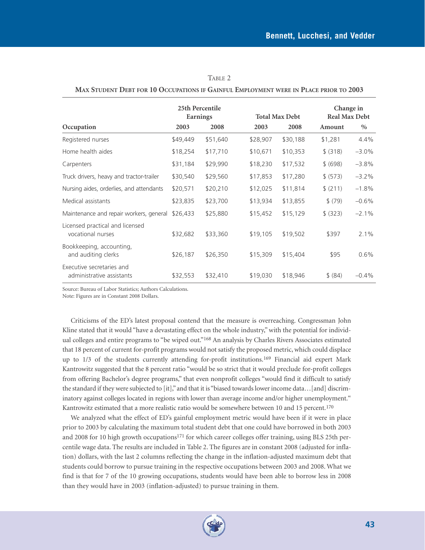|                                                        | 25th Percentile<br>Earnings |          |          | <b>Total Max Debt</b> |          | Change in<br><b>Real Max Debt</b> |  |
|--------------------------------------------------------|-----------------------------|----------|----------|-----------------------|----------|-----------------------------------|--|
| Occupation                                             | 2003                        | 2008     | 2003     | 2008                  | Amount   | $\%$                              |  |
| Registered nurses                                      | \$49,449                    | \$51,640 | \$28,907 | \$30,188              | \$1,281  | 4.4%                              |  |
| Home health aides                                      | \$18,254                    | \$17,710 | \$10,671 | \$10,353              | \$ (318) | $-3.0%$                           |  |
| Carpenters                                             | \$31,184                    | \$29,990 | \$18,230 | \$17,532              | \$ (698) | $-3.8%$                           |  |
| Truck drivers, heavy and tractor-trailer               | \$30,540                    | \$29,560 | \$17,853 | \$17,280              | \$ (573) | $-3.2%$                           |  |
| Nursing aides, orderlies, and attendants               | \$20,571                    | \$20,210 | \$12,025 | \$11,814              | \$ (211) | $-1.8%$                           |  |
| Medical assistants                                     | \$23,835                    | \$23,700 | \$13,934 | \$13,855              | \$ (79)  | $-0.6%$                           |  |
| Maintenance and repair workers, general                | \$26,433                    | \$25,880 | \$15,452 | \$15,129              | \$ (323) | $-2.1%$                           |  |
| Licensed practical and licensed<br>vocational nurses   | \$32,682                    | \$33,360 | \$19,105 | \$19,502              | \$397    | 2.1%                              |  |
| Bookkeeping, accounting,<br>and auditing clerks        | \$26,187                    | \$26,350 | \$15,309 | \$15,404              | \$95     | $0.6\%$                           |  |
| Executive secretaries and<br>administrative assistants | \$32,553                    | \$32,410 | \$19,030 | \$18,946              | \$ (84)  | $-0.4%$                           |  |

| TABLE 2                                                                               |  |
|---------------------------------------------------------------------------------------|--|
| MAX STUDENT DEBT FOR 10 OCCUPATIONS IF GAINFUL EMPLOYMENT WERE IN PLACE PRIOR TO 2003 |  |

Source: Bureau of Labor Statistics; Authors Calculations.

Note: Figures are in Constant 2008 Dollars.

Criticisms of the ED's latest proposal contend that the measure is overreaching. Congressman John Kline stated that it would "have a devastating effect on the whole industry," with the potential for individual colleges and entire programs to "be wiped out."<sup>168</sup> An analysis by Charles Rivers Associates estimated that 18 percent of current for-profit programs would not satisfy the proposed metric, which could displace up to 1/3 of the students currently attending for-profit institutions.<sup>169</sup> Financial aid expert Mark Kantrowitz suggested that the 8 percent ratio "would be so strict that it would preclude for-profit colleges from offering Bachelor's degree programs," that even nonprofit colleges "would find it difficult to satisfy the standard if they were subjected to [it]," and that it is "biased towards lower income data…[and] discriminatory against colleges located in regions with lower than average income and/or higher unemployment." Kantrowitz estimated that a more realistic ratio would be somewhere between 10 and 15 percent.<sup>170</sup>

We analyzed what the effect of ED's gainful employment metric would have been if it were in place prior to 2003 by calculating the maximum total student debt that one could have borrowed in both 2003 and 2008 for 10 high growth occupations171 for which career colleges offer training, using BLS 25th percentile wage data. The results are included in Table 2. The figures are in constant 2008 (adjusted for inflation) dollars, with the last 2 columns reflecting the change in the inflation-adjusted maximum debt that students could borrow to pursue training in the respective occupations between 2003 and 2008. What we find is that for 7 of the 10 growing occupations, students would have been able to borrow less in 2008 than they would have in 2003 (inflation-adjusted) to pursue training in them.

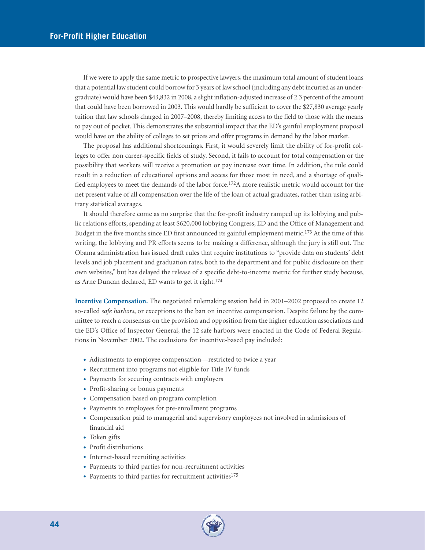If we were to apply the same metric to prospective lawyers, the maximum total amount of student loans that a potential law student could borrow for 3 years of law school (including any debt incurred as an undergraduate) would have been \$43,832 in 2008, a slight inflation-adjusted increase of 2.3 percent of the amount that could have been borrowed in 2003. This would hardly be sufficient to cover the \$27,830 average yearly tuition that law schools charged in 2007–2008, thereby limiting access to the field to those with the means to pay out of pocket. This demonstrates the substantial impact that the ED's gainful employment proposal would have on the ability of colleges to set prices and offer programs in demand by the labor market.

The proposal has additional shortcomings. First, it would severely limit the ability of for-profit colleges to offer non career-specific fields of study. Second, it fails to account for total compensation or the possibility that workers will receive a promotion or pay increase over time. In addition, the rule could result in a reduction of educational options and access for those most in need, and a shortage of qualified employees to meet the demands of the labor force.172A more realistic metric would account for the net present value of all compensation over the life of the loan of actual graduates, rather than using arbitrary statistical averages.

It should therefore come as no surprise that the for-profit industry ramped up its lobbying and public relations efforts, spending at least \$620,000 lobbying Congress, ED and the Office of Management and Budget in the five months since ED first announced its gainful employment metric.173 At the time of this writing, the lobbying and PR efforts seems to be making a difference, although the jury is still out. The Obama administration has issued draft rules that require institutions to "provide data on students' debt levels and job placement and graduation rates, both to the department and for public disclosure on their own websites," but has delayed the release of a specific debt-to-income metric for further study because, as Arne Duncan declared, ED wants to get it right.174

**Incentive Compensation.** The negotiated rulemaking session held in 2001–2002 proposed to create 12 so-called *safe harbors*, or exceptions to the ban on incentive compensation. Despite failure by the committee to reach a consensus on the provision and opposition from the higher education associations and the ED's Office of Inspector General, the 12 safe harbors were enacted in the Code of Federal Regulations in November 2002. The exclusions for incentive-based pay included:

- Adjustments to employee compensation—restricted to twice a year
- Recruitment into programs not eligible for Title IV funds
- Payments for securing contracts with employers
- Profit-sharing or bonus payments
- Compensation based on program completion
- Payments to employees for pre-enrollment programs
- Compensation paid to managerial and supervisory employees not involved in admissions of financial aid
- Token gifts
- Profit distributions
- Internet-based recruiting activities
- Payments to third parties for non-recruitment activities
- Payments to third parties for recruitment activities<sup>175</sup>

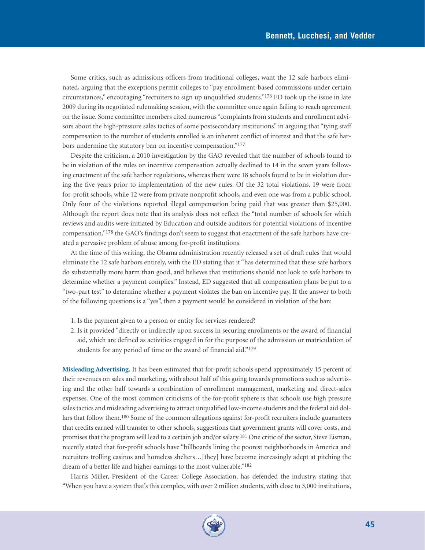Some critics, such as admissions officers from traditional colleges, want the 12 safe harbors eliminated, arguing that the exceptions permit colleges to "pay enrollment-based commissions under certain circumstances," encouraging "recruiters to sign up unqualified students."176 ED took up the issue in late 2009 during its negotiated rulemaking session, with the committee once again failing to reach agreement on the issue. Some committee members cited numerous "complaints from students and enrollment advisors about the high-pressure sales tactics of some postsecondary institutions" in arguing that "tying staff compensation to the number of students enrolled is an inherent conflict of interest and that the safe harbors undermine the statutory ban on incentive compensation."177

Despite the criticism, a 2010 investigation by the GAO revealed that the number of schools found to be in violation of the rules on incentive compensation actually declined to 14 in the seven years following enactment of the safe harbor regulations, whereas there were 18 schools found to be in violation during the five years prior to implementation of the new rules. Of the 32 total violations, 19 were from for-profit schools, while 12 were from private nonprofit schools, and even one was from a public school. Only four of the violations reported illegal compensation being paid that was greater than \$25,000. Although the report does note that its analysis does not reflect the "total number of schools for which reviews and audits were initiated by Education and outside auditors for potential violations of incentive compensation,"178 the GAO's findings don't seem to suggest that enactment of the safe harbors have created a pervasive problem of abuse among for-profit institutions.

At the time of this writing, the Obama administration recently released a set of draft rules that would eliminate the 12 safe harbors entirely, with the ED stating that it "has determined that these safe harbors do substantially more harm than good, and believes that institutions should not look to safe harbors to determine whether a payment complies." Instead, ED suggested that all compensation plans be put to a "two-part test" to determine whether a payment violates the ban on incentive pay. If the answer to both of the following questions is a "yes", then a payment would be considered in violation of the ban:

- 1. Is the payment given to a person or entity for services rendered?
- 2. Is it provided "directly or indirectly upon success in securing enrollments or the award of financial aid, which are defined as activities engaged in for the purpose of the admission or matriculation of students for any period of time or the award of financial aid."179

**Misleading Advertising.** It has been estimated that for-profit schools spend approximately 15 percent of their revenues on sales and marketing, with about half of this going towards promotions such as advertising and the other half towards a combination of enrollment management, marketing and direct-sales expenses. One of the most common criticisms of the for-profit sphere is that schools use high pressure sales tactics and misleading advertising to attract unqualified low-income students and the federal aid dollars that follow them.<sup>180</sup> Some of the common allegations against for-profit recruiters include guarantees that credits earned will transfer to other schools, suggestions that government grants will cover costs, and promises that the program will lead to a certain job and/or salary.181 One critic of the sector, Steve Eisman, recently stated that for-profit schools have "billboards lining the poorest neighborhoods in America and recruiters trolling casinos and homeless shelters…[they] have become increasingly adept at pitching the dream of a better life and higher earnings to the most vulnerable."<sup>182</sup>

Harris Miller, President of the Career College Association, has defended the industry, stating that "When you have a system that's this complex, with over 2 million students, with close to 3,000 institutions,

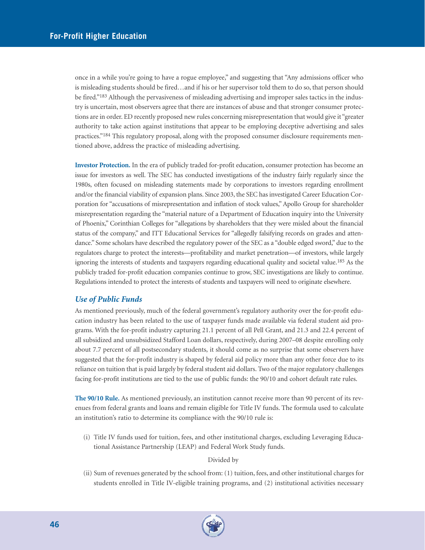once in a while you're going to have a rogue employee," and suggesting that "Any admissions officer who is misleading students should be fired…and if his or her supervisor told them to do so, that person should be fired."183 Although the pervasiveness of misleading advertising and improper sales tactics in the industry is uncertain, most observers agree that there are instances of abuse and that stronger consumer protections are in order. ED recently proposed new rules concerning misrepresentation that would give it "greater authority to take action against institutions that appear to be employing deceptive advertising and sales practices."184 This regulatory proposal, along with the proposed consumer disclosure requirements mentioned above, address the practice of misleading advertising.

**Investor Protection.** In the era of publicly traded for-profit education, consumer protection has become an issue for investors as well. The SEC has conducted investigations of the industry fairly regularly since the 1980s, often focused on misleading statements made by corporations to investors regarding enrollment and/or the financial viability of expansion plans. Since 2003, the SEC has investigated Career Education Corporation for "accusations of misrepresentation and inflation of stock values," Apollo Group for shareholder misrepresentation regarding the "material nature of a Department of Education inquiry into the University of Phoenix," Corinthian Colleges for "allegations by shareholders that they were misled about the financial status of the company," and ITT Educational Services for "allegedly falsifying records on grades and attendance." Some scholars have described the regulatory power of the SEC as a "double edged sword," due to the regulators charge to protect the interests—profitability and market penetration—of investors, while largely ignoring the interests of students and taxpayers regarding educational quality and societal value.185 As the publicly traded for-profit education companies continue to grow, SEC investigations are likely to continue. Regulations intended to protect the interests of students and taxpayers will need to originate elsewhere.

#### *Use of Public Funds*

As mentioned previously, much of the federal government's regulatory authority over the for-profit education industry has been related to the use of taxpayer funds made available via federal student aid programs. With the for-profit industry capturing 21.1 percent of all Pell Grant, and 21.3 and 22.4 percent of all subsidized and unsubsidized Stafford Loan dollars, respectively, during 2007–08 despite enrolling only about 7.7 percent of all postsecondary students, it should come as no surprise that some observers have suggested that the for-profit industry is shaped by federal aid policy more than any other force due to its reliance on tuition that is paid largely by federal student aid dollars. Two of the major regulatory challenges facing for-profit institutions are tied to the use of public funds: the 90/10 and cohort default rate rules.

**The 90/10 Rule.** As mentioned previously, an institution cannot receive more than 90 percent of its revenues from federal grants and loans and remain eligible for Title IV funds. The formula used to calculate an institution's ratio to determine its compliance with the 90/10 rule is:

(i) Title IV funds used for tuition, fees, and other institutional charges, excluding Leveraging Educational Assistance Partnership (LEAP) and Federal Work Study funds.

#### Divided by

(ii) Sum of revenues generated by the school from: (1) tuition, fees, and other institutional charges for students enrolled in Title IV-eligible training programs, and (2) institutional activities necessary

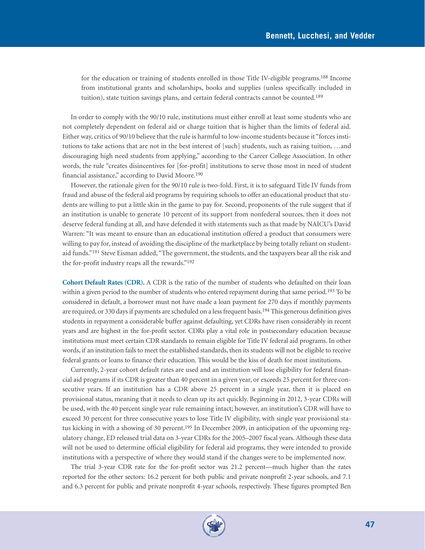for the education or training of students enrolled in those Title IV-eligible programs.188 Income from institutional grants and scholarships, books and supplies (unless specifically included in tuition), state tuition savings plans, and certain federal contracts cannot be counted.<sup>189</sup>

In order to comply with the 90/10 rule, institutions must either enroll at least some students who are not completely dependent on federal aid or charge tuition that is higher than the limits of federal aid. Either way, critics of 90/10 believe that the rule is harmful to low-income students because it "forces institutions to take actions that are not in the best interest of [such] students, such as raising tuition, …and discouraging high need students from applying," according to the Career College Association. In other words, the rule "creates disincentives for [for-profit] institutions to serve those most in need of student financial assistance," according to David Moore.190

However, the rationale given for the 90/10 rule is two-fold. First, it is to safeguard Title IV funds from fraud and abuse of the federal aid programs by requiring schools to offer an educational product that students are willing to put a little skin in the game to pay for. Second, proponents of the rule suggest that if an institution is unable to generate 10 percent of its support from nonfederal sources, then it does not deserve federal funding at all, and have defended it with statements such as that made by NAICU's David Warren: "It was meant to ensure than an educational institution offered a product that consumers were willing to pay for, instead of avoiding the discipline of the marketplace by being totally reliant on studentaid funds."<sup>191</sup> Steve Eisman added, "The government, the students, and the taxpayers bear all the risk and the for-profit industry reaps all the rewards."192

**Cohort Default Rates (CDR).** A CDR is the ratio of the number of students who defaulted on their loan within a given period to the number of students who entered repayment during that same period.<sup>193</sup> To be considered in default, a borrower must not have made a loan payment for 270 days if monthly payments are required, or 330 days if payments are scheduled on a less frequent basis.<sup>194</sup> This generous definition gives students in repayment a considerable buffer against defaulting, yet CDRs have risen considerably in recent years and are highest in the for-profit sector. CDRs play a vital role in postsecondary education because institutions must meet certain CDR standards to remain eligible for Title IV federal aid programs. In other words, if an institution fails to meet the established standards, then its students will not be eligible to receive federal grants or loans to finance their education. This would be the kiss of death for most institutions.

Currently, 2-year cohort default rates are used and an institution will lose eligibility for federal financial aid programs if its CDR is greater than 40 percent in a given year, or exceeds 25 percent for three consecutive years. If an institution has a CDR above 25 percent in a single year, then it is placed on provisional status, meaning that it needs to clean up its act quickly. Beginning in 2012, 3-year CDRs will be used, with the 40 percent single year rule remaining intact; however, an institution's CDR will have to exceed 30 percent for three consecutive years to lose Title IV eligibility, with single year provisional status kicking in with a showing of 30 percent.<sup>195</sup> In December 2009, in anticipation of the upcoming regulatory change, ED released trial data on 3-year CDRs for the 2005–2007 fiscal years. Although these data will not be used to determine official eligibility for federal aid programs, they were intended to provide institutions with a perspective of where they would stand if the changes were to be implemented now.

The trial 3-year CDR rate for the for-profit sector was 21.2 percent—much higher than the rates reported for the other sectors: 16.2 percent for both public and private nonprofit 2-year schools, and 7.1 and 6.3 percent for public and private nonprofit 4-year schools, respectively. These figures prompted Ben

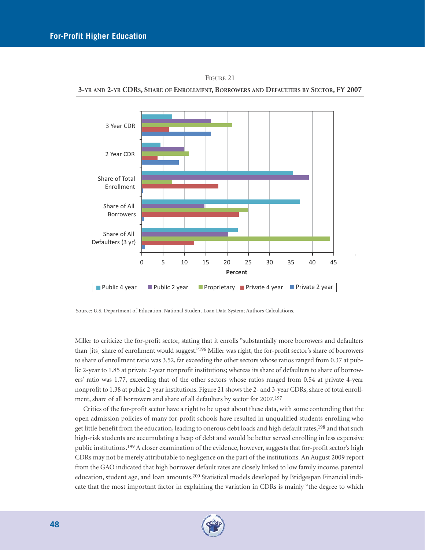

**3-YR AND 2-YR CDRS, SHARE OF ENROLLMENT, BORROWERS AND DEFAULTERS BY SECTOR, FY 2007**



Source: U.S. Department of Education, National Student Loan Data System; Authors Calculations.

Miller to criticize the for-profit sector, stating that it enrolls "substantially more borrowers and defaulters than [its] share of enrollment would suggest."196 Miller was right, the for-profit sector's share of borrowers to share of enrollment ratio was 3.52, far exceeding the other sectors whose ratios ranged from 0.37 at public 2-year to 1.85 at private 2-year nonprofit institutions; whereas its share of defaulters to share of borrowers' ratio was 1.77, exceeding that of the other sectors whose ratios ranged from 0.54 at private 4-year nonprofit to 1.38 at public 2-year institutions. Figure 21 shows the 2- and 3-year CDRs, share of total enrollment, share of all borrowers and share of all defaulters by sector for 2007.197

Critics of the for-profit sector have a right to be upset about these data, with some contending that the open admission policies of many for-profit schools have resulted in unqualified students enrolling who get little benefit from the education, leading to onerous debt loads and high default rates,<sup>198</sup> and that such high-risk students are accumulating a heap of debt and would be better served enrolling in less expensive public institutions.199 A closer examination of the evidence, however, suggests that for-profit sector's high CDRs may not be merely attributable to negligence on the part of the institutions. An August 2009 report from the GAO indicated that high borrower default rates are closely linked to low family income, parental education, student age, and loan amounts.200 Statistical models developed by Bridgespan Financial indicate that the most important factor in explaining the variation in CDRs is mainly "the degree to which

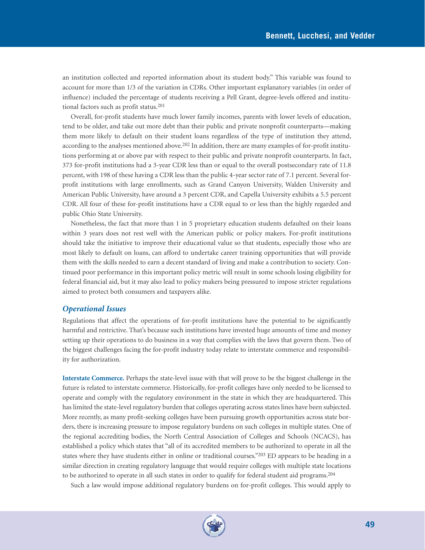an institution collected and reported information about its student body." This variable was found to account for more than 1/3 of the variation in CDRs. Other important explanatory variables (in order of influence) included the percentage of students receiving a Pell Grant, degree-levels offered and institutional factors such as profit status.201

Overall, for-profit students have much lower family incomes, parents with lower levels of education, tend to be older, and take out more debt than their public and private nonprofit counterparts—making them more likely to default on their student loans regardless of the type of institution they attend, according to the analyses mentioned above.202 In addition, there are many examples of for-profit institutions performing at or above par with respect to their public and private nonprofit counterparts. In fact, 373 for-profit institutions had a 3-year CDR less than or equal to the overall postsecondary rate of 11.8 percent, with 198 of these having a CDR less than the public 4-year sector rate of 7.1 percent. Several forprofit institutions with large enrollments, such as Grand Canyon University, Walden University and American Public University, have around a 3 percent CDR, and Capella University exhibits a 5.5 percent CDR. All four of these for-profit institutions have a CDR equal to or less than the highly regarded and public Ohio State University.

Nonetheless, the fact that more than 1 in 5 proprietary education students defaulted on their loans within 3 years does not rest well with the American public or policy makers. For-profit institutions should take the initiative to improve their educational value so that students, especially those who are most likely to default on loans, can afford to undertake career training opportunities that will provide them with the skills needed to earn a decent standard of living and make a contribution to society. Continued poor performance in this important policy metric will result in some schools losing eligibility for federal financial aid, but it may also lead to policy makers being pressured to impose stricter regulations aimed to protect both consumers and taxpayers alike.

#### *Operational Issues*

Regulations that affect the operations of for-profit institutions have the potential to be significantly harmful and restrictive. That's because such institutions have invested huge amounts of time and money setting up their operations to do business in a way that complies with the laws that govern them. Two of the biggest challenges facing the for-profit industry today relate to interstate commerce and responsibility for authorization.

**Interstate Commerce.** Perhaps the state-level issue with that will prove to be the biggest challenge in the future is related to interstate commerce. Historically, for-profit colleges have only needed to be licensed to operate and comply with the regulatory environment in the state in which they are headquartered. This has limited the state-level regulatory burden that colleges operating across states lines have been subjected. More recently, as many profit-seeking colleges have been pursuing growth opportunities across state borders, there is increasing pressure to impose regulatory burdens on such colleges in multiple states. One of the regional accrediting bodies, the North Central Association of Colleges and Schools (NCACS), has established a policy which states that "all of its accredited members to be authorized to operate in all the states where they have students either in online or traditional courses."203 ED appears to be heading in a similar direction in creating regulatory language that would require colleges with multiple state locations to be authorized to operate in all such states in order to qualify for federal student aid programs.204

Such a law would impose additional regulatory burdens on for-profit colleges. This would apply to

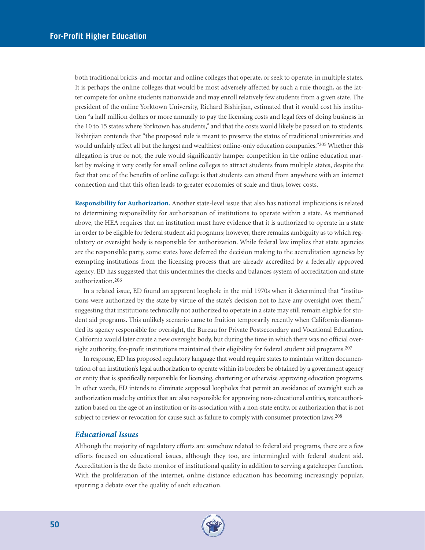both traditional bricks-and-mortar and online colleges that operate, or seek to operate, in multiple states. It is perhaps the online colleges that would be most adversely affected by such a rule though, as the latter compete for online students nationwide and may enroll relatively few students from a given state. The president of the online Yorktown University, Richard Bishirjian, estimated that it would cost his institution "a half million dollars or more annually to pay the licensing costs and legal fees of doing business in the 10 to 15 states where Yorktown has students," and that the costs would likely be passed on to students. Bishirjian contends that "the proposed rule is meant to preserve the status of traditional universities and would unfairly affect all but the largest and wealthiest online-only education companies."205 Whether this allegation is true or not, the rule would significantly hamper competition in the online education market by making it very costly for small online colleges to attract students from multiple states, despite the fact that one of the benefits of online college is that students can attend from anywhere with an internet connection and that this often leads to greater economies of scale and thus, lower costs.

**Responsibility for Authorization.** Another state-level issue that also has national implications is related to determining responsibility for authorization of institutions to operate within a state. As mentioned above, the HEA requires that an institution must have evidence that it is authorized to operate in a state in order to be eligible for federal student aid programs; however, there remains ambiguity as to which regulatory or oversight body is responsible for authorization. While federal law implies that state agencies are the responsible party, some states have deferred the decision making to the accreditation agencies by exempting institutions from the licensing process that are already accredited by a federally approved agency. ED has suggested that this undermines the checks and balances system of accreditation and state authorization.206

In a related issue, ED found an apparent loophole in the mid 1970s when it determined that "institutions were authorized by the state by virtue of the state's decision not to have any oversight over them," suggesting that institutions technically not authorized to operate in a state may still remain eligible for student aid programs. This unlikely scenario came to fruition temporarily recently when California dismantled its agency responsible for oversight, the Bureau for Private Postsecondary and Vocational Education. California would later create a new oversight body, but during the time in which there was no official oversight authority, for-profit institutions maintained their eligibility for federal student aid programs.<sup>207</sup>

In response, ED has proposed regulatory language that would require states to maintain written documentation of an institution's legal authorization to operate within its borders be obtained by a government agency or entity that is specifically responsible for licensing, chartering or otherwise approving education programs. In other words, ED intends to eliminate supposed loopholes that permit an avoidance of oversight such as authorization made by entities that are also responsible for approving non-educational entities, state authorization based on the age of an institution or its association with a non-state entity, or authorization that is not subject to review or revocation for cause such as failure to comply with consumer protection laws.<sup>208</sup>

#### *Educational Issues*

Although the majority of regulatory efforts are somehow related to federal aid programs, there are a few efforts focused on educational issues, although they too, are intermingled with federal student aid. Accreditation is the de facto monitor of institutional quality in addition to serving a gatekeeper function. With the proliferation of the internet, online distance education has becoming increasingly popular, spurring a debate over the quality of such education.

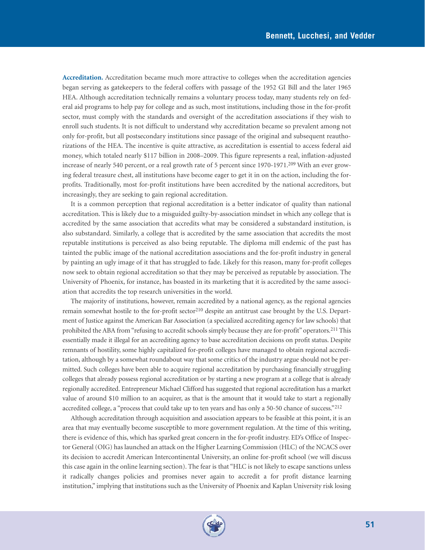**Accreditation.** Accreditation became much more attractive to colleges when the accreditation agencies began serving as gatekeepers to the federal coffers with passage of the 1952 GI Bill and the later 1965 HEA. Although accreditation technically remains a voluntary process today, many students rely on federal aid programs to help pay for college and as such, most institutions, including those in the for-profit sector, must comply with the standards and oversight of the accreditation associations if they wish to enroll such students. It is not difficult to understand why accreditation became so prevalent among not only for-profit, but all postsecondary institutions since passage of the original and subsequent reauthorizations of the HEA. The incentive is quite attractive, as accreditation is essential to access federal aid money, which totaled nearly \$117 billion in 2008–2009. This figure represents a real, inflation-adjusted increase of nearly 540 percent, or a real growth rate of 5 percent since 1970-1971.209 With an ever growing federal treasure chest, all institutions have become eager to get it in on the action, including the forprofits. Traditionally, most for-profit institutions have been accredited by the national accreditors, but increasingly, they are seeking to gain regional accreditation.

It is a common perception that regional accreditation is a better indicator of quality than national accreditation. This is likely due to a misguided guilty-by-association mindset in which any college that is accredited by the same association that accredits what may be considered a substandard institution, is also substandard. Similarly, a college that is accredited by the same association that accredits the most reputable institutions is perceived as also being reputable. The diploma mill endemic of the past has tainted the public image of the national accreditation associations and the for-profit industry in general by painting an ugly image of it that has struggled to fade. Likely for this reason, many for-profit colleges now seek to obtain regional accreditation so that they may be perceived as reputable by association. The University of Phoenix, for instance, has boasted in its marketing that it is accredited by the same association that accredits the top research universities in the world.

The majority of institutions, however, remain accredited by a national agency, as the regional agencies remain somewhat hostile to the for-profit sector<sup>210</sup> despite an antitrust case brought by the U.S. Department of Justice against the American Bar Association (a specialized accrediting agency for law schools) that prohibited the ABA from "refusing to accredit schools simply because they are for-profit" operators.<sup>211</sup> This essentially made it illegal for an accrediting agency to base accreditation decisions on profit status. Despite remnants of hostility, some highly capitalized for-profit colleges have managed to obtain regional accreditation, although by a somewhat roundabout way that some critics of the industry argue should not be permitted. Such colleges have been able to acquire regional accreditation by purchasing financially struggling colleges that already possess regional accreditation or by starting a new program at a college that is already regionally accredited. Entrepreneur Michael Clifford has suggested that regional accreditation has a market value of around \$10 million to an acquirer, as that is the amount that it would take to start a regionally accredited college, a "process that could take up to ten years and has only a 50-50 chance of success."212

Although accreditation through acquisition and association appears to be feasible at this point, it is an area that may eventually become susceptible to more government regulation. At the time of this writing, there is evidence of this, which has sparked great concern in the for-profit industry. ED's Office of Inspector General (OIG) has launched an attack on the Higher Learning Commission (HLC) of the NCACS over its decision to accredit American Intercontinental University, an online for-profit school (we will discuss this case again in the online learning section). The fear is that "HLC is not likely to escape sanctions unless it radically changes policies and promises never again to accredit a for profit distance learning institution," implying that institutions such as the University of Phoenix and Kaplan University risk losing

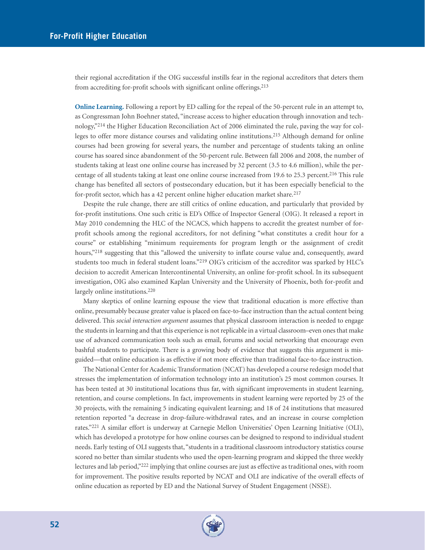their regional accreditation if the OIG successful instills fear in the regional accreditors that deters them from accrediting for-profit schools with significant online offerings.213

**Online Learning.** Following a report by ED calling for the repeal of the 50-percent rule in an attempt to, as Congressman John Boehner stated, "increase access to higher education through innovation and technology,"214 the Higher Education Reconciliation Act of 2006 eliminated the rule, paving the way for colleges to offer more distance courses and validating online institutions.215 Although demand for online courses had been growing for several years, the number and percentage of students taking an online course has soared since abandonment of the 50-percent rule. Between fall 2006 and 2008, the number of students taking at least one online course has increased by 32 percent (3.5 to 4.6 million), while the percentage of all students taking at least one online course increased from 19.6 to 25.3 percent.<sup>216</sup> This rule change has benefited all sectors of postsecondary education, but it has been especially beneficial to the for-profit sector, which has a 42 percent online higher education market share.<sup>217</sup>

Despite the rule change, there are still critics of online education, and particularly that provided by for-profit institutions. One such critic is ED's Office of Inspector General (OIG). It released a report in May 2010 condemning the HLC of the NCACS, which happens to accredit the greatest number of forprofit schools among the regional accreditors, for not defining "what constitutes a credit hour for a course" or establishing "minimum requirements for program length or the assignment of credit hours,"<sup>218</sup> suggesting that this "allowed the university to inflate course value and, consequently, award students too much in federal student loans."219 OIG's criticism of the accreditor was sparked by HLC's decision to accredit American Intercontinental University, an online for-profit school. In its subsequent investigation, OIG also examined Kaplan University and the University of Phoenix, both for-profit and largely online institutions.220

Many skeptics of online learning espouse the view that traditional education is more effective than online, presumably because greater value is placed on face-to-face instruction than the actual content being delivered. This *social interaction argument* assumes that physical classroom interaction is needed to engage the students in learning and that this experience is not replicable in a virtual classroom–even ones that make use of advanced communication tools such as email, forums and social networking that encourage even bashful students to participate. There is a growing body of evidence that suggests this argument is misguided—that online education is as effective if not more effective than traditional face-to-face instruction.

The National Center for Academic Transformation (NCAT) has developed a course redesign model that stresses the implementation of information technology into an institution's 25 most common courses. It has been tested at 30 institutional locations thus far, with significant improvements in student learning, retention, and course completions. In fact, improvements in student learning were reported by 25 of the 30 projects, with the remaining 5 indicating equivalent learning; and 18 of 24 institutions that measured retention reported "a decrease in drop-failure-withdrawal rates, and an increase in course completion rates."221 A similar effort is underway at Carnegie Mellon Universities' Open Learning Initiative (OLI), which has developed a prototype for how online courses can be designed to respond to individual student needs. Early testing of OLI suggests that, "students in a traditional classroom introductory statistics course scored no better than similar students who used the open-learning program and skipped the three weekly lectures and lab period,"222 implying that online courses are just as effective as traditional ones, with room for improvement. The positive results reported by NCAT and OLI are indicative of the overall effects of online education as reported by ED and the National Survey of Student Engagement (NSSE).

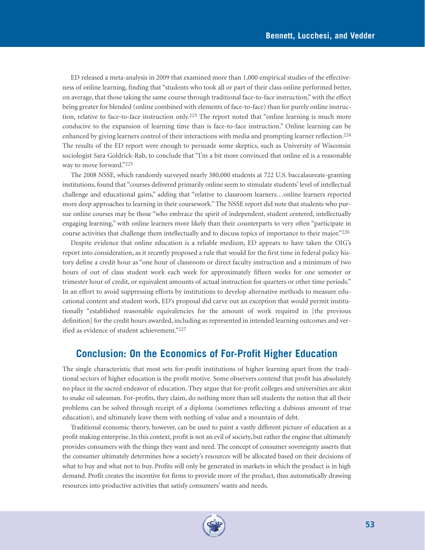ED released a meta-analysis in 2009 that examined more than 1,000 empirical studies of the effectiveness of online learning, finding that "students who took all or part of their class online performed better, on average, that those taking the same course through traditional face-to-face instruction," with the effect being greater for blended (online combined with elements of face-to-face) than for purely online instruction, relative to face-to-face instruction only.223 The report noted that "online learning is much more conducive to the expansion of learning time than is face-to-face instruction." Online learning can be enhanced by giving learners control of their interactions with media and prompting learner reflection.224 The results of the ED report were enough to persuade some skeptics, such as University of Wisconsin sociologist Sara Goldrick-Rab, to conclude that "I'm a bit more convinced that online ed is a reasonable way to move forward."225

The 2008 NSSE, which randomly surveyed nearly 380,000 students at 722 U.S. baccalaureate-granting institutions, found that "courses delivered primarily online seem to stimulate students' level of intellectual challenge and educational gains," adding that "relative to classroom learners…online learners reported more deep approaches to learning in their coursework." The NSSE report did note that students who pursue online courses may be those "who embrace the spirit of independent, student centered, intellectually engaging learning," with online learners more likely than their counterparts to very often "participate in course activities that challenge them intellectually and to discuss topics of importance to their major."226

Despite evidence that online education is a reliable medium, ED appears to have taken the OIG's report into consideration, as it recently proposed a rule that would for the first time in federal policy history define a credit hour as "one hour of classroom or direct faculty instruction and a minimum of two hours of out of class student work each week for approximately fifteen weeks for one semester or trimester hour of credit, or equivalent amounts of actual instruction for quarters or other time periods." In an effort to avoid suppressing efforts by institutions to develop alternative methods to measure educational content and student work, ED's proposal did carve out an exception that would permit institutionally "established reasonable equivalencies for the amount of work required in [the previous definition] for the credit hours awarded, including as represented in intended learning outcomes and verified as evidence of student achievement."227

## **Conclusion: On the Economics of For-Profit Higher Education**

The single characteristic that most sets for-profit institutions of higher learning apart from the traditional sectors of higher education is the profit motive. Some observers contend that profit has absolutely no place in the sacred endeavor of education. They argue that for-profit colleges and universities are akin to snake oil salesman. For-profits, they claim, do nothing more than sell students the notion that all their problems can be solved through receipt of a diploma (sometimes reflecting a dubious amount of true education), and ultimately leave them with nothing of value and a mountain of debt.

Traditional economic theory, however, can be used to paint a vastly different picture of education as a profit making enterprise. In this context, profit is not an evil of society, but rather the engine that ultimately provides consumers with the things they want and need. The concept of consumer sovereignty asserts that the consumer ultimately determines how a society's resources will be allocated based on their decisions of what to buy and what not to buy. Profits will only be generated in markets in which the product is in high demand. Profit creates the incentive for firms to provide more of the product, thus automatically drawing resources into productive activities that satisfy consumers' wants and needs.

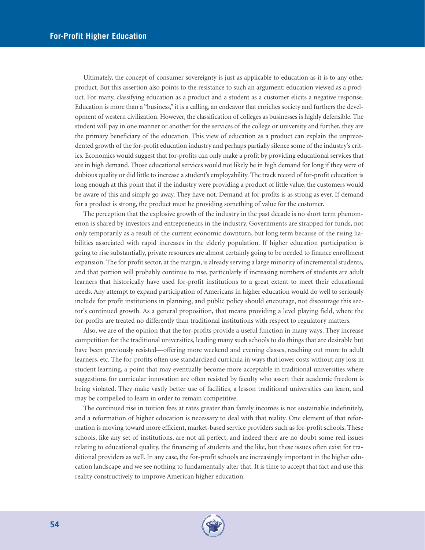Ultimately, the concept of consumer sovereignty is just as applicable to education as it is to any other product. But this assertion also points to the resistance to such an argument: education viewed as a product. For many, classifying education as a product and a student as a customer elicits a negative response. Education is more than a "business," it is a calling, an endeavor that enriches society and furthers the development of western civilization. However, the classification of colleges as businesses is highly defensible. The student will pay in one manner or another for the services of the college or university and further, they are the primary beneficiary of the education. This view of education as a product can explain the unprecedented growth of the for-profit education industry and perhaps partially silence some of the industry's critics. Economics would suggest that for-profits can only make a profit by providing educational services that are in high demand. Those educational services would not likely be in high demand for long if they were of dubious quality or did little to increase a student's employability. The track record of for-profit education is long enough at this point that if the industry were providing a product of little value, the customers would be aware of this and simply go away. They have not. Demand at for-profits is as strong as ever. If demand for a product is strong, the product must be providing something of value for the customer.

The perception that the explosive growth of the industry in the past decade is no short term phenomenon is shared by investors and entrepreneurs in the industry. Governments are strapped for funds, not only temporarily as a result of the current economic downturn, but long term because of the rising liabilities associated with rapid increases in the elderly population. If higher education participation is going to rise substantially, private resources are almost certainly going to be needed to finance enrollment expansion. The for profit sector, at the margin, is already serving a large minority of incremental students, and that portion will probably continue to rise, particularly if increasing numbers of students are adult learners that historically have used for-profit institutions to a great extent to meet their educational needs. Any attempt to expand participation of Americans in higher education would do well to seriously include for profit institutions in planning, and public policy should encourage, not discourage this sector's continued growth. As a general proposition, that means providing a level playing field, where the for-profits are treated no differently than traditional institutions with respect to regulatory matters.

Also, we are of the opinion that the for-profits provide a useful function in many ways. They increase competition for the traditional universities, leading many such schools to do things that are desirable but have been previously resisted—offering more weekend and evening classes, reaching out more to adult learners, etc. The for-profits often use standardized curricula in ways that lower costs without any loss in student learning, a point that may eventually become more acceptable in traditional universities where suggestions for curricular innovation are often resisted by faculty who assert their academic freedom is being violated. They make vastly better use of facilities, a lesson traditional universities can learn, and may be compelled to learn in order to remain competitive.

The continued rise in tuition fees at rates greater than family incomes is not sustainable indefinitely, and a reformation of higher education is necessary to deal with that reality. One element of that reformation is moving toward more efficient, market-based service providers such as for-profit schools. These schools, like any set of institutions, are not all perfect, and indeed there are no doubt some real issues relating to educational quality, the financing of students and the like, but these issues often exist for traditional providers as well. In any case, the for-profit schools are increasingly important in the higher education landscape and we see nothing to fundamentally alter that. It is time to accept that fact and use this reality constructively to improve American higher education.

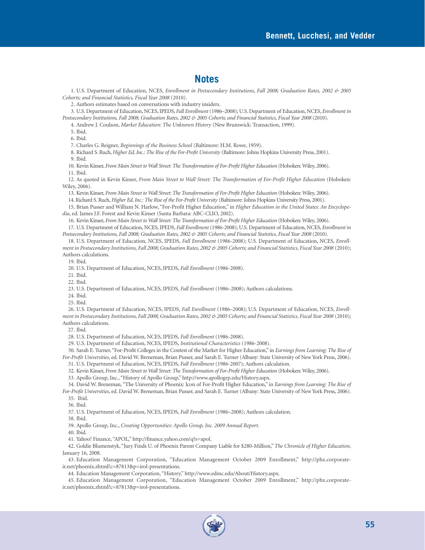### **Notes**

1. U.S. Department of Education, NCES, *Enrollment in Postsecondary Institutions, Fall 2008; Graduation Rates, 2002 & 2005 Cohorts; and Financial Statistics, Fiscal Year 2008* (2010).

2. Authors estimates based on conversations with industry insiders.

3. U.S. Department of Education, NCES, IPEDS, *Fall Enrollment*(1986–2008); U.S. Department of Education, NCES, *Enrollment in Postsecondary Institutions, Fall 2008; Graduation Rates, 2002 & 2005 Cohorts; and Financial Statistics, Fiscal Year 2008* (2010).

4. Andrew J. Coulson, *Market Education: The Unknown History* (New Brunswick: Transaction, 1999).

5. Ibid.

6. Ibid.

7. Charles G. Reigner, *Beginnings of the Business School* (Baltimore: H.M. Rowe, 1959).

8. Richard S. Ruch, *Higher Ed, Inc.: The Rise of the For-Profit University* (Baltimore: Johns Hopkins University Press, 2001). 9. Ibid.

10. Kevin Kinser, *From Main Street to Wall Street: The Transformation of For-Profit Higher Education* (Hoboken: Wiley, 2006). 11. Ibid.

12. As quoted in Kevin Kinser, *From Main Street to Wall Street: The Transformation of For-Profit Higher Education* (Hoboken: Wiley, 2006).

13. Kevin Kinser, *From Main Street to Wall Street: The Transformation of For-Profit Higher Education* (Hoboken: Wiley, 2006).

14. Richard S. Ruch, *Higher Ed, Inc.: The Rise of the For-Profit University* (Baltimore: Johns Hopkins University Press, 2001).

15. Brian Pusser and William N. Harlow, "For-Profit Higher Education," in *Higher Education in the United States: An Encyclopedia*, ed. James J.F. Forest and Kevin Kinser (Santa Barbara: ABC-CLIO, 2002).

16. Kevin Kinser, *From Main Street to Wall Street: The Transformation of For-Profit Higher Education* (Hoboken: Wiley, 2006).

17. U.S. Department of Education, NCES, IPEDS, *Fall Enrollment* (1986-2008); U.S. Department of Education, NCES, *Enrollment in Postsecondary Institutions, Fall 2008; Graduation Rates, 2002 & 2005 Cohorts; and Financial Statistics, Fiscal Year 2008* (2010).

18. U.S. Department of Education, NCES, IPEDS, *Fall Enrollment* (1986-2008); U.S. Department of Education, NCES, *Enrollment in Postsecondary Institutions, Fall 2008; Graduation Rates, 2002 & 2005 Cohorts; and Financial Statistics, Fiscal Year 2008* (2010); Authors calculations.

19. Ibid.

20. U.S. Department of Education, NCES, IPEDS, *Fall Enrollment* (1986-2008).

21. Ibid.

22. Ibid.

23. U.S. Department of Education, NCES, IPEDS, *Fall Enrollment* (1986–2008); Authors calculations.

24. Ibid.

25. Ibid.

26. U.S. Department of Education, NCES, IPEDS, *Fall Enrollment* (1986–2008); U.S. Department of Education, NCES, *Enrollment in Postsecondary Institutions, Fall 2008; Graduation Rates, 2002 & 2005 Cohorts; and Financial Statistics, Fiscal Year 2008* (2010); Authors calculations.

27. Ibid.

28. U.S. Department of Education, NCES, IPEDS, *Fall Enrollment* (1986-2008).

29. U.S. Department of Education, NCES, IPEDS, *Institutional Characteristics* (1986-2008).

30. Sarah E. Turner,"For-Profit Colleges in the Contest of the Market for Higher Education," in *Earnings from Learning: The Rise of For-Profit Universities*, ed. David W. Breneman, Brian Pusser, and Sarah E. Turner (Albany: State University of New York Press, 2006).

31. U.S. Department of Education, NCES, IPEDS, *Fall Enrollment* (1986-2007); Authors calculation.

32. Kevin Kinser, *From Main Street to Wall Street: The Transformation of For-Profit Higher Education* (Hoboken: Wiley, 2006).

33. Apollo Group, Inc., "History of Apollo Group," http://www.apollogrp.edu/History.aspx.

34. David W. Breneman, "The University of Phoenix: Icon of For-Profit Higher Education," in *Earnings from Learning: The Rise of For-Profit Universities*, ed. David W. Breneman, Brian Pusser, and Sarah E. Turner (Albany: State University of New York Press, 2006). 35. Ibid.

36. Ibid.

37. U.S. Department of Education, NCES, IPEDS, *Fall Enrollment* (1986–2008); Authors calculation.

38. Ibid.

39. Apollo Group, Inc., *Creating Opportunities: Apollo Group, Inc. 2009 Annual Report*.

40. Ibid.

41. Yahoo! Finance, "APOL," http://finance.yahoo.com/q?s=apol.

42. Goldie Blumenstyk, "Jury Finds U. of Phoenix Parent Company Liable for \$280-Million," *The Chronicle of Higher Education,* January 16, 2008.

43. Education Management Corporation, "Education Management October 2009 Enrollment," http://phx.corporateir.net/phoenix.zhtml?c=87813&p=irol-presentations.

44. Education Management Corporation, "History," http://www.edmc.edu/About/History.aspx.

45. Education Management Corporation, "Education Management October 2009 Enrollment," http://phx.corporateir.net/phoenix.zhtml?c=87813&p=irol-presentations.

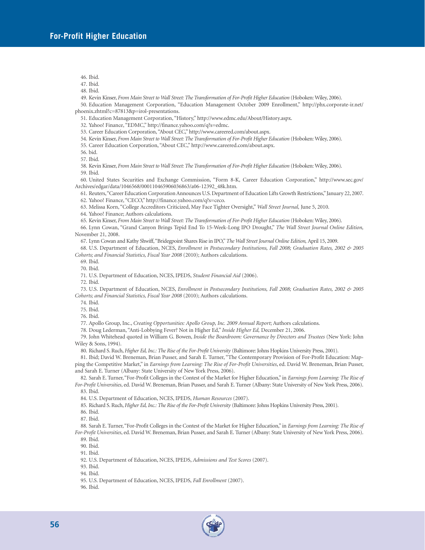46. Ibid.

47. Ibid.

48. Ibid.

49. Kevin Kinser, *From Main Street to Wall Street: The Transformation of For-Profit Higher Education* (Hoboken: Wiley, 2006).

50. Education Management Corporation, "Education Management October 2009 Enrollment," http://phx.corporate-ir.net/ phoenix.zhtml?c=87813&p=irol-presentations.

51. Education Management Corporation, "History," http://www.edmc.edu/About/History.aspx.

32. Yahoo! Finance, "EDMC," http://finance.yahoo.com/q?s=edmc.

53. Career Education Corporation, "About CEC," http://www.careered.com/about.aspx.

54. Kevin Kinser, *From Main Street to Wall Street: The Transformation of For-Profit Higher Education* (Hoboken: Wiley, 2006).

55. Career Education Corporation, "About CEC," http://www.careered.com/about.aspx.

56. bid.

57. Ibid.

58. Kevin Kinser, *From Main Street to Wall Street: The Transformation of For-Profit Higher Education* (Hoboken: Wiley, 2006). 59. Ibid.

60. United States Securities and Exchange Commission, "Form 8-K, Career Education Corporation," http://www.sec.gov/ Archives/edgar/data/1046568/000110465906036863/a06-12392\_48k.htm.

61. Reuters,"Career Education Corporation Announces U.S. Department of Education Lifts Growth Restrictions,"January 22, 2007. 62. Yahoo! Finance, "CECO," http://finance.yahoo.com/q?s=ceco.

63. Melissa Korn, "College Accreditors Criticized, May Face Tighter Oversight," *Wall Street Journal,* June 5, 2010.

64. Yahoo! Finance; Authors calculations.

65. Kevin Kinser, *From Main Street to Wall Street: The Transformation of For-Profit Higher Education* (Hoboken: Wiley, 2006).

66. Lynn Cowan, "Grand Canyon Brings Tepid End To 15-Week-Long IPO Drought," *The Wall Street Journal Online Edition,* November 21, 2008.

67. Lynn Cowan and Kathy Shwiff,"Bridegpoint Shares Rise in IPO,"*The Wall Street Journal Online Edition,* April 15, 2009.

68. U.S. Department of Education, NCES, *Enrollment in Postsecondary Institutions, Fall 2008; Graduation Rates, 2002 & 2005 Cohorts; and Financial Statistics, Fiscal Year 2008* (2010); Authors calculations.

69. Ibid.

70. Ibid.

71. U.S. Department of Education, NCES, IPEDS, *Student Financial Aid* (2006).

72. Ibid.

73. U.S. Department of Education, NCES, *Enrollment in Postsecondary Institutions, Fall 2008; Graduation Rates, 2002 & 2005 Cohorts; and Financial Statistics, Fiscal Year 2008* (2010); Authors calculations.

74. Ibid.

75. Ibid.

76. Ibid.

77. Apollo Group, Inc., *Creating Opportunities: Apollo Group, Inc. 2009 Annual Report*; Authors calculations.

78. Doug Lederman, "Anti-Lobbying Fever? Not in Higher Ed," *Inside Higher Ed,* December 21, 2006.

79. John Whitehead quoted in William G. Bowen, *Inside the Boardroom: Governance by Directors and Trustees* (New York: John Wiley & Sons, 1994).

80. Richard S. Ruch, *Higher Ed, Inc.: The Rise of the For-Profit University* (Baltimore: Johns Hopkins University Press, 2001).

81. Ibid; David W. Breneman, Brian Pusser, and Sarah E. Turner, "The Contemporary Provision of For-Profit Education: Mapping the Competitive Market," in *Earnings from Learning: The Rise of For-Profit Universities*, ed. David W. Breneman, Brian Pusser, and Sarah E. Turner (Albany: State University of New York Press, 2006).

82. Sarah E. Turner,"For-Profit Colleges in the Contest of the Market for Higher Education," in *Earnings from Learning: The Rise of For-Profit Universities*, ed. David W. Breneman, Brian Pusser, and Sarah E. Turner (Albany: State University of New York Press, 2006). 83. Ibid.

84. U.S. Department of Education, NCES, IPEDS, *Human Resources* (2007).

85. Richard S. Ruch, *Higher Ed, Inc.: The Rise of the For-Profit University* (Baltimore: Johns Hopkins University Press, 2001).

86. Ibid.

87. Ibid.

88. Sarah E. Turner,"For-Profit Colleges in the Contest of the Market for Higher Education," in *Earnings from Learning: The Rise of For-Profit Universities*, ed. David W. Breneman, Brian Pusser, and Sarah E. Turner (Albany: State University of New York Press, 2006).

89. Ibid.

90. Ibid.

91. Ibid.

92. U.S. Department of Education, NCES, IPEDS, *Admissions and Test Scores* (2007).

93. Ibid.

94. Ibid.

95. U.S. Department of Education, NCES, IPEDS, *Fall Enrollment* (2007).

96. Ibid.

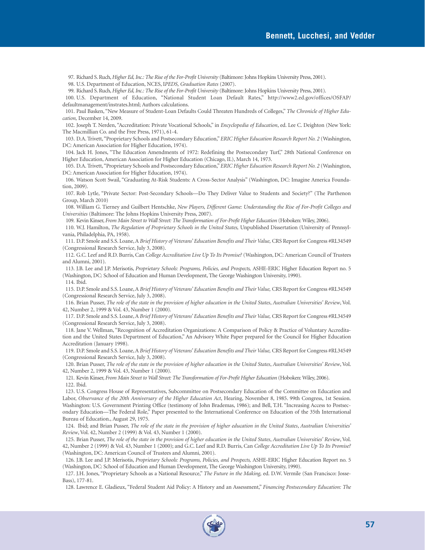97. Richard S. Ruch, *Higher Ed, Inc.: The Rise of the For-Profit University* (Baltimore: Johns Hopkins University Press, 2001).

98. U.S. Department of Education, NCES, I*PEDS, Graduation Rates* (2007).

99. Richard S. Ruch, *Higher Ed, Inc.: The Rise of the For-Profit University* (Baltimore: Johns Hopkins University Press, 2001).

100. U.S. Department of Education, "National Student Loan Default Rates," http://www2.ed.gov/offices/OSFAP/ defaultmanagement/instrates.html; Authors calculations.

101. Paul Basken, "New Measure of Student-Loan Defaults Could Threaten Hundreds of Colleges," *The Chronicle of Higher Education,* December 14, 2009.

102. Joseph T. Nerden, "Accreditation: Private Vocational Schools," in *Encyclopedia of Education*, ed. Lee C. Deighton (New York: The Macmillian Co. and the Free Press, 1971), 61-4.

103. D.A. Trivett,"Proprietary Schools and Postsecondary Education," *ERIC Higher Education Research Report No. 2* (Washington, DC: American Association for Higher Education, 1974).

104. Jack H. Jones, "The Education Amendments of 1972: Redefining the Postsecondary Turf," 28th National Conference on Higher Education, American Association for Higher Education (Chicago, IL), March 14, 1973.

105. D.A. Trivett,"Proprietary Schools and Postsecondary Education," *ERIC Higher Education Research Report No. 2* (Washington, DC: American Association for Higher Education, 1974).

106. Watson Scott Swail, "Graduating At-Risk Students: A Cross-Sector Analysis" (Washington, DC: Imagine America Foundation, 2009).

107. Rob Lytle, "Private Sector: Post-Secondary Schools—Do They Deliver Value to Students and Society?" (The Parthenon Group, March 2010)

108. William G. Tierney and Guilbert Hentschke, *New Players, Different Game: Understanding the Rise of For-Profit Colleges and Universities* (Baltimore: The Johns Hopkins University Press, 2007).

109. Kevin Kinser, *From Main Street to Wall Street: The Transformation of For-Profit Higher Education* (Hoboken: Wiley, 2006).

110. W.J. Hamilton, *The Regulation of Proprietary Schools in the United States,* Unpublished Dissertation (University of Pennsylvania, Philadelphia, PA, 1958).

111. D.P. Smole and S.S. Loane, A *Brief History of Veterans' Education Benefits and Their Value,* CRS Report for Congress #RL34549 (Congressional Research Service, July 3, 2008).

112. G.C. Leef and R.D. Burris, Can *College Accreditation Live Up To Its Promise?* (Washington, DC: American Council of Trustees and Alumni, 2001).

113. J.B. Lee and J.P. Merisotis, *Proprietary Schools: Programs, Policies, and Prospects,* ASHE-ERIC Higher Education Report no. 5 (Washington, DC: School of Education and Human Development, The George Washington University, 1990). 114. Ibid.

115. D.P. Smole and S.S. Loane, A *Brief History of Veterans' Education Benefits and Their Value,* CRS Report for Congress #RL34549 (Congressional Research Service, July 3, 2008).

116. Brian Pusser, *The role of the state in the provision of higher education in the United States*, *Australian Universities' Review*, Vol. 42, Number 2, 1999 & Vol. 43, Number 1 (2000).

117. D.P. Smole and S.S. Loane, A *Brief History of Veterans' Education Benefits and Their Value,* CRS Report for Congress #RL34549 (Congressional Research Service, July 3, 2008).

118. Jane V. Wellman, "Recognition of Accreditation Organizations: A Comparison of Policy & Practice of Voluntary Accreditation and the United States Department of Education," An Advisory White Paper prepared for the Council for Higher Education Accreditation (January 1998).

119. D.P. Smole and S.S. Loane, A *Brief History of Veterans' Education Benefits and Their Value,* CRS Report for Congress #RL34549 (Congressional Research Service, July 3, 2008).

120. Brian Pusser, *The role of the state in the provision of higher education in the United States*, *Australian Universities' Review*, Vol. 42, Number 2, 1999 & Vol. 43, Number 1 (2000).

121. Kevin Kinser, *From Main Street to Wall Street: The Transformation of For-Profit Higher Education* (Hoboken: Wiley, 2006). 122. Ibid.

123. U.S. Congress House of Representatives, Subcommittee on Postsecondary Education of the Committee on Education and Labor, *Observance of the 20th Anniversary of the Higher Education Act*, Hearing, November 8, 1985. 99th Congress, 1st Session. Washington: U.S. Government Printing Office (testimony of John Brademas, 1986); and Bell, T.H. "Increasing Access to Postsecondary Education—The Federal Role," Paper presented to the International Conference on Education of the 35th International Bureau of Education., August 29, 1975.

124. Ibid; and Brian Pusser, *The role of the state in the provision of higher education in the United States*, *Australian Universities' Review*, Vol. 42, Number 2 (1999) & Vol. 43, Number 1 (2000).

125. Brian Pusser, *The role of the state in the provision of higher education in the United States*, *Australian Universities' Review*, Vol. 42, Number 2 (1999) & Vol. 43, Number 1 (2000); and G.C. Leef and R.D. Burris, Can *College Accreditation Live Up To Its Promise?* (Washington, DC: American Council of Trustees and Alumni, 2001).

126. J.B. Lee and J.P. Merisotis, *Proprietary Schools: Programs, Policies, and Prospects,* ASHE-ERIC Higher Education Report no. 5 (Washington, DC: School of Education and Human Development, The George Washington University, 1990).

127. J.H. Jones, "Proprietary Schools as a National Resource," *The Future in the Making,* ed. D.W. Vermile (San Francisco: Josse-Bass), 177-81.

128. Lawrence E. Gladieux, "Federal Student Aid Policy: A History and an Assessment," *Financing Postsecondary Education: The*

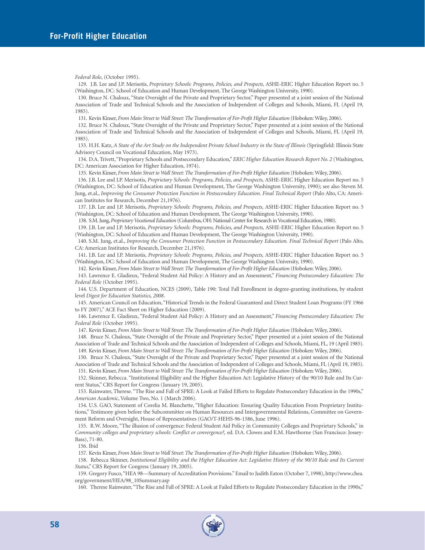*Federal Role*, (October 1995).

129. J.B. Lee and J.P. Merisotis, *Proprietary Schools: Programs, Policies, and Prospects,* ASHE-ERIC Higher Education Report no. 5 (Washington, DC: School of Education and Human Development, The George Washington University, 1990).

130. Bruce N. Chaloux, "State Oversight of the Private and Proprietary Sector," Paper presented at a joint session of the National Association of Trade and Technical Schools and the Association of Independent of Colleges and Schools, Miami, FL (April 19, 1985).

131. Kevin Kinser, *From Main Street to Wall Street: The Transformation of For-Profit Higher Education* (Hoboken: Wiley, 2006).

132. Bruce N. Chaloux, "State Oversight of the Private and Proprietary Sector," Paper presented at a joint session of the National Association of Trade and Technical Schools and the Association of Independent of Colleges and Schools, Miami, FL (April 19, 1985).

133. H.H. Katz, *A State of the Art Study on the Independent Private School Industry in the State of Illinois* (Springfield: Illinois State Advisory Council on Vocational Education, May 1973).

134. D.A. Trivett,"Proprietary Schools and Postsecondary Education," *ERIC Higher Education Research Report No. 2* (Washington, DC: American Association for Higher Education, 1974).

135. Kevin Kinser, *From Main Street to Wall Street: The Transformation of For-Profit Higher Education* (Hoboken: Wiley, 2006).

136. J.B. Lee and J.P. Merisotis, *Proprietary Schools: Programs, Policies, and Prospects,* ASHE-ERIC Higher Education Report no. 5 (Washington, DC: School of Education and Human Development, The George Washington University, 1990); see also Steven M. Jung, et.al., *Improving the Consumer Protection Function in Postsecondary Education. Final Technical Report* (Palo Alto, CA: American Institutes for Research, December 21,1976).

137. J.B. Lee and J.P. Merisotis, *Proprietary Schools: Programs, Policies, and Prospects,* ASHE-ERIC Higher Education Report no. 5 (Washington, DC: School of Education and Human Development, The George Washington University, 1990).

138. S.M. Jung,*Proprietary Vocational Education* (Columbus, OH: National Center for Research in Vocational Education, 1980).

139. J.B. Lee and J.P. Merisotis, *Proprietary Schools: Programs, Policies, and Prospects,* ASHE-ERIC Higher Education Report no. 5 (Washington, DC: School of Education and Human Development, The George Washington University, 1990).

140. S.M. Jung, et.al., *Improving the Consumer Protection Function in Postsecondary Education. Final Technical Report* (Palo Alto, CA: American Institutes for Research, December 21,1976).

141. J.B. Lee and J.P. Merisotis, *Proprietary Schools: Programs, Policies, and Prospects,* ASHE-ERIC Higher Education Report no. 5 (Washington, DC: School of Education and Human Development, The George Washington University, 1990).

142. Kevin Kinser, *From Main Street to Wall Street: The Transformation of For-Profit Higher Education* (Hoboken: Wiley, 2006).

143. Lawrence E. Gladieux, "Federal Student Aid Policy: A History and an Assessment," *Financing Postsecondary Education: The Federal Role* (October 1995).

144. U.S. Department of Education, NCES (2009), Table 190: Total Fall Enrollment in degree-granting institutions, by student level *Digest for Education Statistics, 2008*.

145. American Council on Education, "Historical Trends in the Federal Guaranteed and Direct Student Loan Programs (FY 1966 to FY 2007)," ACE Fact Sheet on Higher Education (2009).

146. Lawrence E. Gladieux, "Federal Student Aid Policy: A History and an Assessment," *Financing Postsecondary Education: The Federal Role* (October 1995).

147. Kevin Kinser, *From Main Street to Wall Street: The Transformation of For-Profit Higher Education* (Hoboken: Wiley, 2006).

148. Bruce N. Chaloux, "State Oversight of the Private and Proprietary Sector," Paper presented at a joint session of the National Association of Trade and Technical Schools and the Association of Independent of Colleges and Schools, Miami, FL, 19 (April 1985). 149. Kevin Kinser, *From Main Street to Wall Street: The Transformation of For-Profit Higher Education* (Hoboken: Wiley, 2006).

150. Bruce N. Chaloux, "State Oversight of the Private and Proprietary Sector," Paper presented at a joint session of the National Association of Trade and Technical Schools and the Association of Independent of Colleges and Schools, Miami, FL (April 19, 1985).

151. Kevin Kinser, *From Main Street to Wall Street: The Transformation of For-Profit Higher Education* (Hoboken: Wiley, 2006).

152. Skinner, Rebecca. "Institutional Eligibility and the Higher Education Act: Legislative History of the 90/10 Rule and Its Current Status," CRS Report for Congress (January 19, 2005).

153. Rainwater, Therese. "The Rise and Fall of SPRE: A Look at Failed Efforts to Regulate Postsecondary Education in the 1990s," *American Academic*, Volume Two, No. 1 (March 2006).

154. U.S. GAO, Statement of Corelia M. Blanchette, "Higher Education: Ensuring Quality Education From Proprietary Institutions," Testimony given before the Subcommittee on Human Resources and Intergovernmental Relations, Committee on Government Reform and Oversight, House of Representatives (GAO/T-HEHS-96-1586, June 1996).

155. R.W. Moore, "The illusion of convergence: Federal Student Aid Policy in Community Colleges and Proprietary Schools," in *Community colleges and proprietary schools: Conflict or convergence?,* ed. D.A. Clowes and E.M. Hawthorne (San Francisco: Jossey-Bass), 71-80.

156. Ibid

157. Kevin Kinser, *From Main Street to Wall Street: The Transformation of For-Profit Higher Education* (Hoboken: Wiley, 2006).

158. Rebecca Skinner, *Institutional Eligibility and the Higher Education Act: Legislative History of the 90/10 Rule and Its Current Status*," CRS Report for Congress (January 19, 2005).

159. Gregory Fusco,"HEA 98—Summary of Accreditation Provisions." Email to Judith Eaton (October 7, 1998), http://www.chea. org/government/HEA/98\_10Summary.asp

160. Therese Rainwater, "The Rise and Fall of SPRE: A Look at Failed Efforts to Regulate Postsecondary Education in the 1990s,"

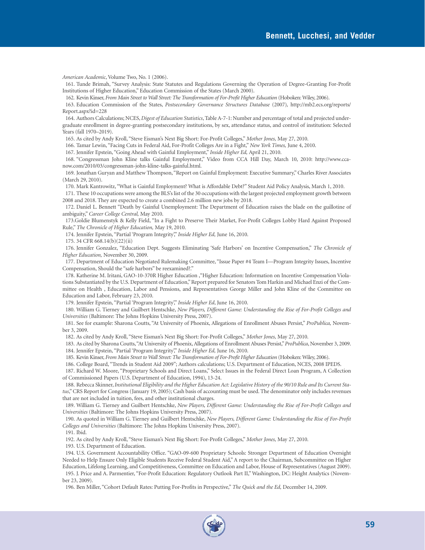*American Academic*, Volume Two, No. 1 (2006).

161. Tunde Brimah, "Survey Analysis: State Statutes and Regulations Governing the Operation of Degree-Granting For-Profit Institutions of Higher Education," Education Commission of the States (March 2000).

162. Kevin Kinser, *From Main Street to Wall Street: The Transformation of For-Profit Higher Education* (Hoboken: Wiley, 2006).

163. Education Commission of the States, *Postsecondary Governance Structures Database* (2007)*,* http://mb2.ecs.org/reports/ Report.aspx?id=228

164. Authors Calculations; NCES, *Digest of Education Statistics*, Table A-7-1: Number and percentage of total and projected undergraduate enrollment in degree-granting postsecondary institutions, by sex, attendance status, and control of institution: Selected Years (fall 1970–2019).

165. As cited by Andy Kroll, "Steve Eisman's Next Big Short: For-Profit Colleges," *Mother Jones,* May 27, 2010.

166. Tamar Lewin, "Facing Cuts in Federal Aid, For-Profit Colleges Are in a Fight," *New York Times,* June 4, 2010.

167. Jennifer Epstein, "Going Ahead with Gainful Employment," *Inside Higher Ed,* April 21, 2010.

168. "Congressman John Kline talks Gainful Employment," Video from CCA Hill Day, March 10, 2010: http://www.ccanow.com/2010/03/congressman-john-kline-talks-gainful.html.

169. Jonathan Guryan and Matthew Thompson, "Report on Gainful Employment: Executive Summary," Charles River Associates (March 29, 2010).

170. Mark Kantrowitz, "What is Gainful Employment? What is Affordable Debt?" Student Aid Policy Analysis, March 1, 2010.

171. These 10 occupations were among the BLS's list of the 30 occupations with the largest projected employment growth between 2008 and 2018. They are expected to create a combined 2.6 million new jobs by 2018.

172. Daniel L. Bennett "Death by Gainful Unemployment: The Department of Education raises the blade on the guillotine of ambiguity," *Career College Central,* May 2010.

173.Goldie Blumenstyk & Kelly Field, "In a Fight to Preserve Their Market, For-Profit Colleges Lobby Hard Against Proposed Rule," *The Chronicle of Higher Education,* May 19, 2010.

174. Jennifer Epstein, "Partial 'Program Integrity'," *Inside Higher Ed,* June 16, 2010.

175. 34 CFR 668.14(b)(22)(ii)

176. Jennifer Gonzalez, "Education Dept. Suggests Eliminating 'Safe Harbors' on Incentive Compensation," *The Chronicle of Higher Education,* November 30, 2009.

177. Department of Education Negotiated Rulemaking Committee, "Issue Paper #4 Team I—Program Integrity Issues, Incentive Compensation, Should the "safe harbors" be reexamined?."

178. Katherine M. Iritani, GAO-10-370R Higher Education ,"Higher Education: Information on Incentive Compensation Violations Substantiated by the U.S. Department of Education," Report prepared for Senators Tom Harkin and Michael Enzi of the Committee on Health , Education, Labor and Pensions, and Representatives George Miller and John Kline of the Committee on Education and Labor, February 23, 2010.

179. Jennifer Epstein, "Partial 'Program Integrity'," *Inside Higher Ed*, June 16, 2010.

180. William G. Tierney and Guilbert Hentschke, *New Players, Different Game: Understanding the Rise of For-Profit Colleges and Universities* (Baltimore: The Johns Hopkins University Press, 2007).

181. See for example: Sharona Coutts, "At University of Phoenix, Allegations of Enrollment Abuses Persist," *ProPublica,* November 3, 2009.

182. As cited by Andy Kroll, "Steve Eisman's Next Big Short: For-Profit Colleges," *Mother Jones,* May 27, 2010.

183. As cited by Sharona Coutts,"At University of Phoenix, Allegations of Enrollment Abuses Persist,"*ProPublica*, November 3, 2009. 184. Jennifer Epstein, "Partial 'Program Integrity'," *Inside Higher Ed,* June 16, 2010.

185. Kevin Kinser, *From Main Street to Wall Street: The Transformation of For-Profit Higher Education* (Hoboken: Wiley, 2006).

186. College Board, "Trends in Student Aid 2009"; Authors calculations; U.S. Department of Education, NCES, 2008 IPEDS.

187. Richard W. Moore, "Proprietary Schools and Direct Loans," Select Issues in the Federal Direct Loan Program, A Collection of Commissioned Papers (U.S. Department of Education, 1994), 13-24.

188. Rebecca Skinner,*Institutional Eligibility and the Higher Education Act: Legislative History of the 90/10 Rule and Its Current Status*," CRS Report for Congress (January 19, 2005); Cash basis of accounting must be used. The denominator only includes revenues that are not included in tuition, fees, and other institutional charges.

189. William G. Tierney and Guilbert Hentschke, *New Players, Different Game: Understanding the Rise of For-Profit Colleges and Universities* (Baltimore: The Johns Hopkins University Press, 2007).

190. As quoted in William G. Tierney and Guilbert Hentschke, *New Players, Different Game: Understanding the Rise of For-Profit Colleges and Universities* (Baltimore: The Johns Hopkins University Press, 2007).

191. Ibid.

192. As cited by Andy Kroll, "Steve Eisman's Next Big Short: For-Profit Colleges," *Mother Jones,* May 27, 2010.

193. U.S. Department of Education.

194. U.S. Government Accountability Office. "GAO-09-600 Proprietary Schools: Stronger Department of Education Oversight Needed to Help Ensure Only Eligible Students Receive Federal Student Aid," A report to the Chairman, Subcommittee on Higher Education, Lifelong Learning, and Competitiveness, Committee on Education and Labor, House of Representatives (August 2009). 195. J. Price and A. Parmentier, "For-Profit Education: Regulatory Outlook Part II," Washington, DC: Height Analytics (Novem-

ber 23, 2009). 196. Ben Miller, "Cohort Default Rates: Putting For-Profits in Perspective," *The Quick and the Ed,* December 14, 2009.